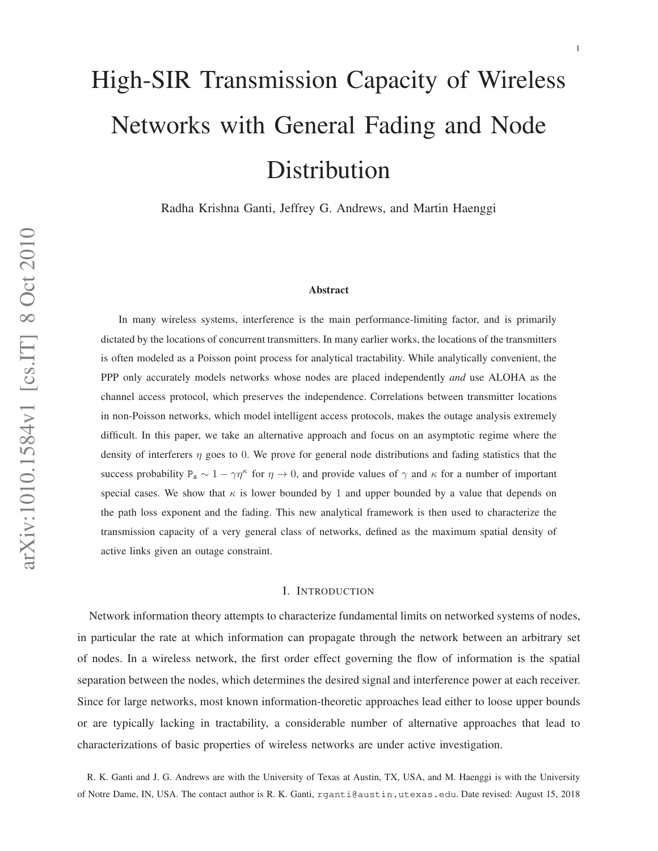# High-SIR Transmission Capacity of Wireless Networks with General Fading and Node Distribution

Radha Krishna Ganti, Jeffrey G. Andrews, and Martin Haenggi

## **Abstract**

In many wireless systems, interference is the main performance-limiting factor, and is primarily dictated by the locations of concurrent transmitters. In many earlier works, the locations of the transmitters is often modeled as a Poisson point process for analytical tractability. While analytically convenient, the PPP only accurately models networks whose nodes are placed independently *and* use ALOHA as the channel access protocol, which preserves the independence. Correlations between transmitter locations in non-Poisson networks, which model intelligent access protocols, makes the outage analysis extremely difficult. In this paper, we take an alternative approach and focus on an asymptotic regime where the density of interferers  $\eta$  goes to 0. We prove for general node distributions and fading statistics that the success probability  $P_s \sim 1 - \gamma \eta^k$  for  $\eta \to 0$ , and provide values of  $\gamma$  and  $\kappa$  for a number of important special cases. We show that  $\kappa$  is lower bounded by 1 and upper bounded by a value that depends on the path loss exponent and the fading. This new analytical framework is then used to characterize the transmission capacity of a very general class of networks, defined as the maximum spatial density of active links given an outage constraint.

# I. INTRODUCTION

Network information theory attempts to characterize fundamental limits on networked systems of nodes, in particular the rate at which information can propagate through the network between an arbitrary set of nodes. In a wireless network, the first order effect governing the flow of information is the spatial separation between the nodes, which determines the desired signal and interference power at each receiver. Since for large networks, most known information-theoretic approaches lead either to loose upper bounds or are typically lacking in tractability, a considerable number of alternative approaches that lead to characterizations of basic properties of wireless networks are under active investigation.

R. K. Ganti and J. G. Andrews are with the University of Texas at Austin, TX, USA, and M. Haenggi is with the University of Notre Dame, IN, USA. The contact author is R. K. Ganti, rganti@austin.utexas.edu. Date revised: August 15, 2018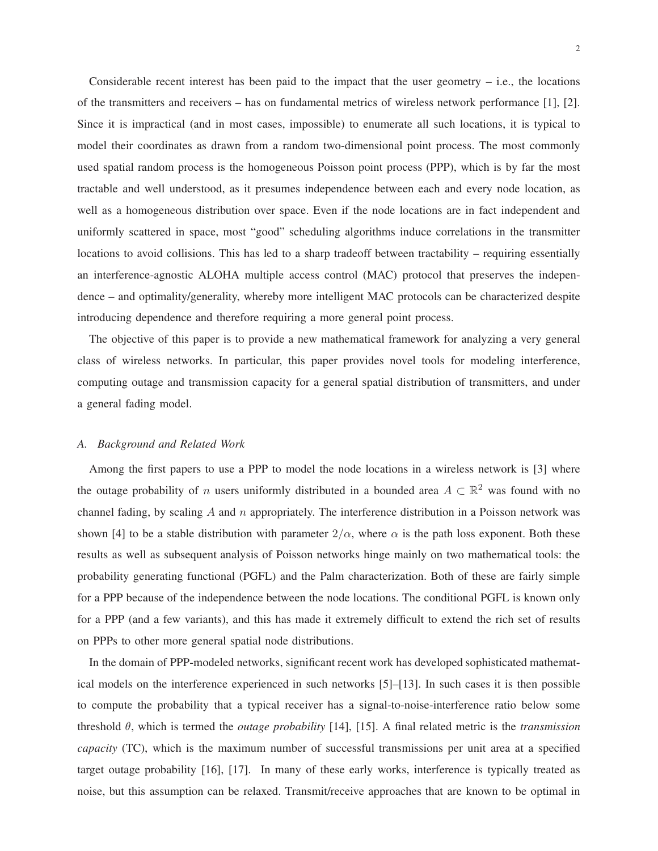Considerable recent interest has been paid to the impact that the user geometry  $-$  i.e., the locations of the transmitters and receivers – has on fundamental metrics of wireless network performance [1], [2]. Since it is impractical (and in most cases, impossible) to enumerate all such locations, it is typical to model their coordinates as drawn from a random two-dimensional point process. The most commonly used spatial random process is the homogeneous Poisson point process (PPP), which is by far the most tractable and well understood, as it presumes independence between each and every node location, as well as a homogeneous distribution over space. Even if the node locations are in fact independent and uniformly scattered in space, most "good" scheduling algorithms induce correlations in the transmitter locations to avoid collisions. This has led to a sharp tradeoff between tractability – requiring essentially an interference-agnostic ALOHA multiple access control (MAC) protocol that preserves the independence – and optimality/generality, whereby more intelligent MAC protocols can be characterized despite introducing dependence and therefore requiring a more general point process.

The objective of this paper is to provide a new mathematical framework for analyzing a very general class of wireless networks. In particular, this paper provides novel tools for modeling interference, computing outage and transmission capacity for a general spatial distribution of transmitters, and under a general fading model.

# *A. Background and Related Work*

Among the first papers to use a PPP to model the node locations in a wireless network is [3] where the outage probability of *n* users uniformly distributed in a bounded area  $A \subset \mathbb{R}^2$  was found with no channel fading, by scaling  $A$  and  $n$  appropriately. The interference distribution in a Poisson network was shown [4] to be a stable distribution with parameter  $2/\alpha$ , where  $\alpha$  is the path loss exponent. Both these results as well as subsequent analysis of Poisson networks hinge mainly on two mathematical tools: the probability generating functional (PGFL) and the Palm characterization. Both of these are fairly simple for a PPP because of the independence between the node locations. The conditional PGFL is known only for a PPP (and a few variants), and this has made it extremely difficult to extend the rich set of results on PPPs to other more general spatial node distributions.

In the domain of PPP-modeled networks, significant recent work has developed sophisticated mathematical models on the interference experienced in such networks [5]–[13]. In such cases it is then possible to compute the probability that a typical receiver has a signal-to-noise-interference ratio below some threshold θ, which is termed the *outage probability* [14], [15]. A final related metric is the *transmission capacity* (TC), which is the maximum number of successful transmissions per unit area at a specified target outage probability [16], [17]. In many of these early works, interference is typically treated as noise, but this assumption can be relaxed. Transmit/receive approaches that are known to be optimal in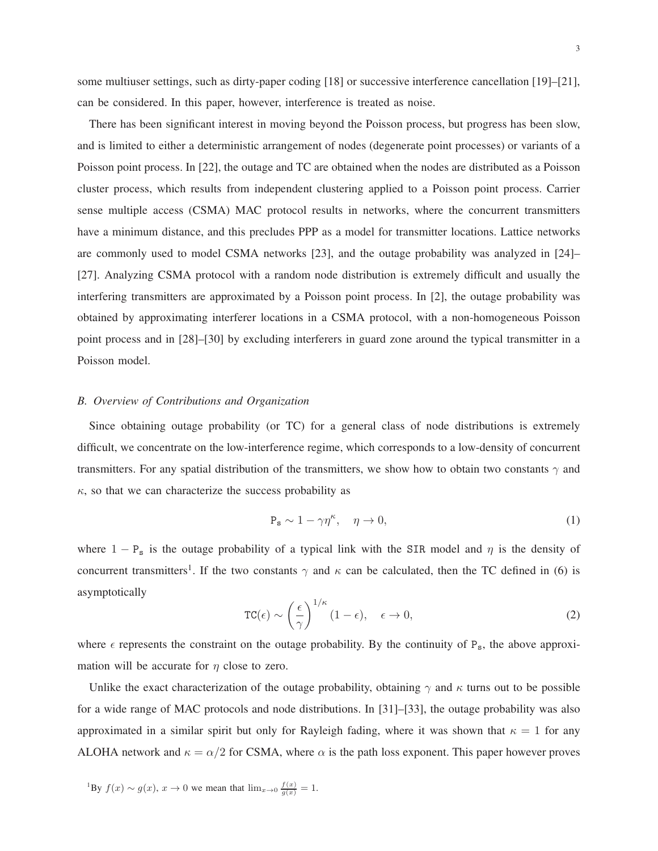some multiuser settings, such as dirty-paper coding [18] or successive interference cancellation [19]–[21], can be considered. In this paper, however, interference is treated as noise.

There has been significant interest in moving beyond the Poisson process, but progress has been slow, and is limited to either a deterministic arrangement of nodes (degenerate point processes) or variants of a Poisson point process. In [22], the outage and TC are obtained when the nodes are distributed as a Poisson cluster process, which results from independent clustering applied to a Poisson point process. Carrier sense multiple access (CSMA) MAC protocol results in networks, where the concurrent transmitters have a minimum distance, and this precludes PPP as a model for transmitter locations. Lattice networks are commonly used to model CSMA networks [23], and the outage probability was analyzed in [24]– [27]. Analyzing CSMA protocol with a random node distribution is extremely difficult and usually the interfering transmitters are approximated by a Poisson point process. In [2], the outage probability was obtained by approximating interferer locations in a CSMA protocol, with a non-homogeneous Poisson point process and in [28]–[30] by excluding interferers in guard zone around the typical transmitter in a Poisson model.

# *B. Overview of Contributions and Organization*

Since obtaining outage probability (or TC) for a general class of node distributions is extremely difficult, we concentrate on the low-interference regime, which corresponds to a low-density of concurrent transmitters. For any spatial distribution of the transmitters, we show how to obtain two constants  $\gamma$  and  $\kappa$ , so that we can characterize the success probability as

$$
P_s \sim 1 - \gamma \eta^{\kappa}, \quad \eta \to 0,
$$
\n(1)

where  $1 - P_s$  is the outage probability of a typical link with the SIR model and  $\eta$  is the density of concurrent transmitters<sup>1</sup>. If the two constants  $\gamma$  and  $\kappa$  can be calculated, then the TC defined in (6) is asymptotically

$$
TC(\epsilon) \sim \left(\frac{\epsilon}{\gamma}\right)^{1/\kappa} (1-\epsilon), \quad \epsilon \to 0,
$$
 (2)

where  $\epsilon$  represents the constraint on the outage probability. By the continuity of P<sub>s</sub>, the above approximation will be accurate for  $\eta$  close to zero.

Unlike the exact characterization of the outage probability, obtaining  $\gamma$  and  $\kappa$  turns out to be possible for a wide range of MAC protocols and node distributions. In [31]–[33], the outage probability was also approximated in a similar spirit but only for Rayleigh fading, where it was shown that  $\kappa = 1$  for any ALOHA network and  $\kappa = \alpha/2$  for CSMA, where  $\alpha$  is the path loss exponent. This paper however proves

<sup>1</sup>By  $f(x) \sim g(x)$ ,  $x \to 0$  we mean that  $\lim_{x \to 0} \frac{f(x)}{g(x)} = 1$ .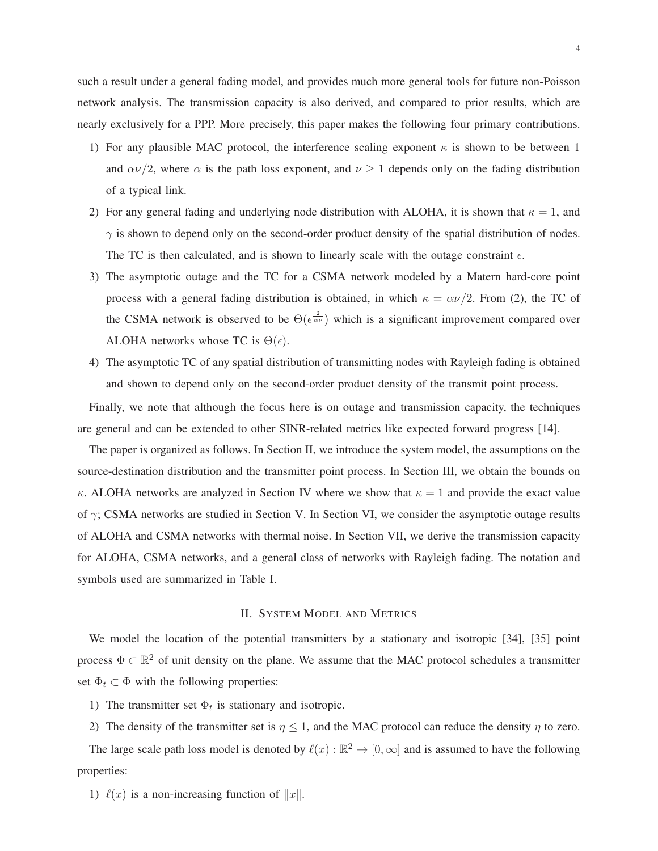such a result under a general fading model, and provides much more general tools for future non-Poisson network analysis. The transmission capacity is also derived, and compared to prior results, which are nearly exclusively for a PPP. More precisely, this paper makes the following four primary contributions.

- 1) For any plausible MAC protocol, the interference scaling exponent  $\kappa$  is shown to be between 1 and  $\alpha \nu/2$ , where  $\alpha$  is the path loss exponent, and  $\nu \ge 1$  depends only on the fading distribution of a typical link.
- 2) For any general fading and underlying node distribution with ALOHA, it is shown that  $\kappa = 1$ , and  $\gamma$  is shown to depend only on the second-order product density of the spatial distribution of nodes. The TC is then calculated, and is shown to linearly scale with the outage constraint  $\epsilon$ .
- 3) The asymptotic outage and the TC for a CSMA network modeled by a Matern hard-core point process with a general fading distribution is obtained, in which  $\kappa = \alpha \nu/2$ . From (2), the TC of the CSMA network is observed to be  $\Theta(\epsilon^{\frac{2}{\alpha \nu}})$  which is a significant improvement compared over ALOHA networks whose TC is  $\Theta(\epsilon)$ .
- 4) The asymptotic TC of any spatial distribution of transmitting nodes with Rayleigh fading is obtained and shown to depend only on the second-order product density of the transmit point process.

Finally, we note that although the focus here is on outage and transmission capacity, the techniques are general and can be extended to other SINR-related metrics like expected forward progress [14].

The paper is organized as follows. In Section II, we introduce the system model, the assumptions on the source-destination distribution and the transmitter point process. In Section III, we obtain the bounds on κ. ALOHA networks are analyzed in Section IV where we show that  $\kappa = 1$  and provide the exact value of  $\gamma$ ; CSMA networks are studied in Section V. In Section VI, we consider the asymptotic outage results of ALOHA and CSMA networks with thermal noise. In Section VII, we derive the transmission capacity for ALOHA, CSMA networks, and a general class of networks with Rayleigh fading. The notation and symbols used are summarized in Table I.

# II. SYSTEM MODEL AND METRICS

We model the location of the potential transmitters by a stationary and isotropic [34], [35] point process  $\Phi \subset \mathbb{R}^2$  of unit density on the plane. We assume that the MAC protocol schedules a transmitter set  $\Phi_t \subset \Phi$  with the following properties:

- 1) The transmitter set  $\Phi_t$  is stationary and isotropic.
- 2) The density of the transmitter set is  $\eta \leq 1$ , and the MAC protocol can reduce the density  $\eta$  to zero.

The large scale path loss model is denoted by  $\ell(x): \mathbb{R}^2 \to [0, \infty]$  and is assumed to have the following properties:

1)  $\ell(x)$  is a non-increasing function of  $||x||$ .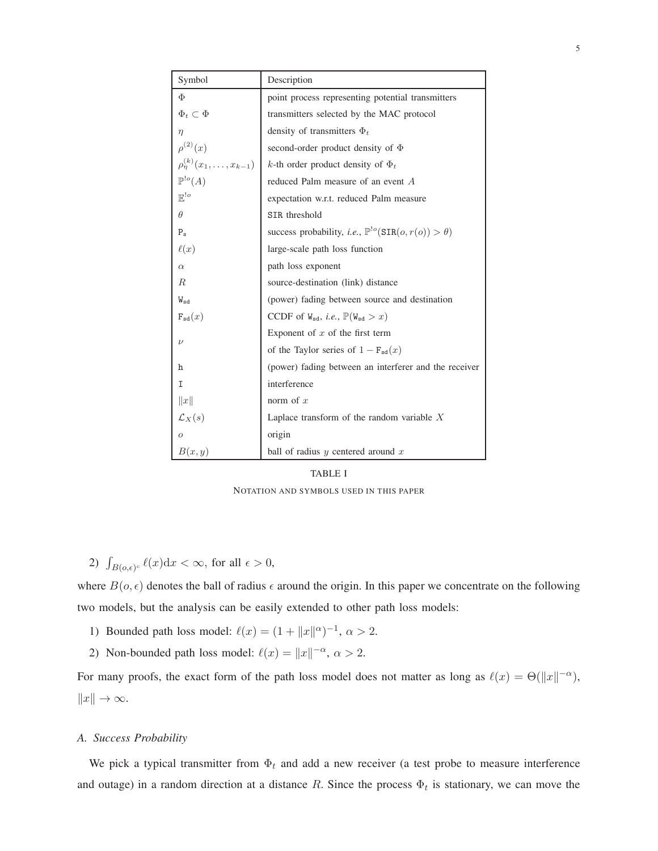| Symbol                                  | Description                                                                               |
|-----------------------------------------|-------------------------------------------------------------------------------------------|
| Φ                                       | point process representing potential transmitters                                         |
| $\Phi_t \subset \Phi$                   | transmitters selected by the MAC protocol                                                 |
| $\eta$                                  | density of transmitters $\Phi_t$                                                          |
| $\rho^{(2)}(x)$                         | second-order product density of $\Phi$                                                    |
| $\rho_{\eta}^{(k)}(x_1,\ldots,x_{k-1})$ | k-th order product density of $\Phi_t$                                                    |
| $\mathbb{P}^{!o}(A)$                    | reduced Palm measure of an event A                                                        |
| $\mathbb{E}^{\cdot o}$                  | expectation w.r.t. reduced Palm measure                                                   |
| $\theta$                                | SIR threshold                                                                             |
| $P_{\rm s}$                             | success probability, <i>i.e.</i> , $\mathbb{P}^{\text{lo}}(\text{SIR}(o, r(o)) > \theta)$ |
| $\ell(x)$                               | large-scale path loss function                                                            |
| $\alpha$                                | path loss exponent                                                                        |
| R.                                      | source-destination (link) distance                                                        |
| $W_{sd}$                                | (power) fading between source and destination                                             |
| $F_{sd}(x)$                             | CCDF of $W_{sd}$ , <i>i.e.</i> , $\mathbb{P}(W_{sd} > x)$                                 |
|                                         | Exponent of $x$ of the first term                                                         |
| $\nu$                                   | of the Taylor series of $1 - F_{sd}(x)$                                                   |
| h                                       | (power) fading between an interferer and the receiver                                     |
| I                                       | interference                                                                              |
| x                                       | norm of $x$                                                                               |
| $\mathcal{L}_X(s)$                      | Laplace transform of the random variable $X$                                              |
| $\overline{O}$                          | origin                                                                                    |
| B(x,y)                                  | ball of radius $y$ centered around $x$                                                    |

# TABLE I

NOTATION AND SYMBOLS USED IN THIS PAPER

2)  $\int_{B(o,\epsilon)^c} \ell(x) dx < \infty$ , for all  $\epsilon > 0$ ,

where  $B(o, \epsilon)$  denotes the ball of radius  $\epsilon$  around the origin. In this paper we concentrate on the following two models, but the analysis can be easily extended to other path loss models:

- 1) Bounded path loss model:  $\ell(x) = (1 + ||x||^{\alpha})^{-1}, \alpha > 2.$
- 2) Non-bounded path loss model:  $\ell(x) = ||x||^{-\alpha}, \alpha > 2$ .

For many proofs, the exact form of the path loss model does not matter as long as  $\ell(x) = \Theta(\|x\|^{-\alpha})$ ,  $||x|| \to \infty$ .

# *A. Success Probability*

We pick a typical transmitter from  $\Phi_t$  and add a new receiver (a test probe to measure interference and outage) in a random direction at a distance R. Since the process  $\Phi_t$  is stationary, we can move the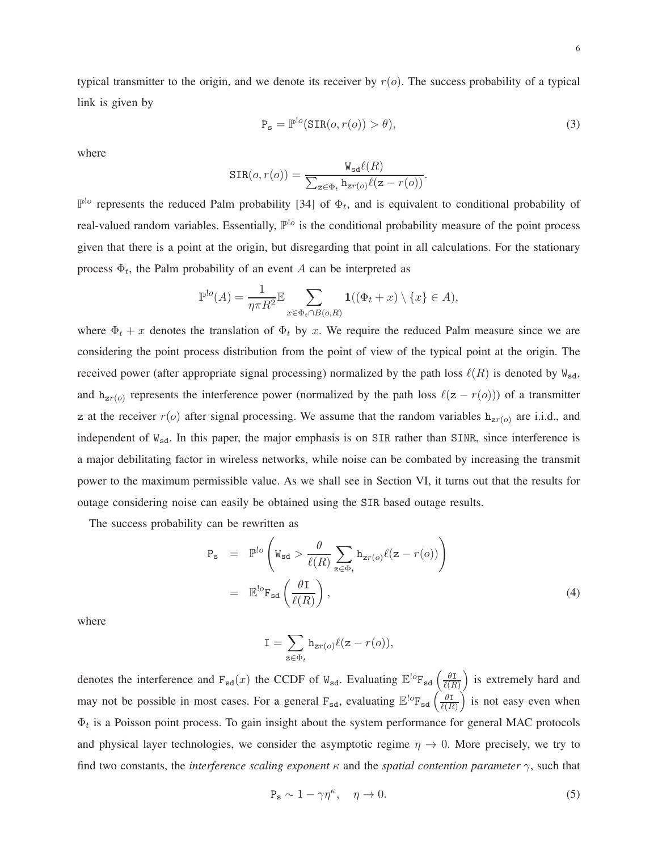typical transmitter to the origin, and we denote its receiver by  $r(o)$ . The success probability of a typical link is given by

$$
P_s = \mathbb{P}^{!o}(\text{SIR}(o, r(o)) > \theta),\tag{3}
$$

where

$$
SIR(o, r(o)) = \frac{W_{sd}\ell(R)}{\sum_{z \in \Phi_t} h_{zr(o)}\ell(z - r(o))}.
$$

 $\mathbb{P}^{\cdot|o}$  represents the reduced Palm probability [34] of  $\Phi_t$ , and is equivalent to conditional probability of real-valued random variables. Essentially,  $\mathbb{P}^{lo}$  is the conditional probability measure of the point process given that there is a point at the origin, but disregarding that point in all calculations. For the stationary process  $\Phi_t$ , the Palm probability of an event A can be interpreted as

$$
\mathbb{P}^{\cdot}(\mathcal{A}) = \frac{1}{\eta \pi R^2} \mathbb{E} \sum_{x \in \Phi_t \cap B(o, R)} \mathbf{1}((\Phi_t + x) \setminus \{x\} \in \mathcal{A}),
$$

where  $\Phi_t + x$  denotes the translation of  $\Phi_t$  by x. We require the reduced Palm measure since we are considering the point process distribution from the point of view of the typical point at the origin. The received power (after appropriate signal processing) normalized by the path loss  $\ell(R)$  is denoted by  $W_{sd}$ , and  $h_{zr(o)}$  represents the interference power (normalized by the path loss  $\ell(z - r(o))$ ) of a transmitter z at the receiver  $r(o)$  after signal processing. We assume that the random variables  $h_{zr(o)}$  are i.i.d., and independent of  $W_{sd}$ . In this paper, the major emphasis is on SIR rather than SINR, since interference is a major debilitating factor in wireless networks, while noise can be combated by increasing the transmit power to the maximum permissible value. As we shall see in Section VI, it turns out that the results for outage considering noise can easily be obtained using the SIR based outage results.

The success probability can be rewritten as

$$
P_{s} = \mathbb{P}^{lo} \left( W_{sd} > \frac{\theta}{\ell(R)} \sum_{z \in \Phi_{t}} h_{zr(o)} \ell(z - r(o)) \right)
$$
  

$$
= \mathbb{E}^{lo} F_{sd} \left( \frac{\theta I}{\ell(R)} \right), \qquad (4)
$$

where

$$
\mathtt{I} = \sum_{\mathtt{z} \in \Phi_t} \mathtt{h}_{\mathtt{z} r(o)} \ell(\mathtt{z} - r(o)),
$$

denotes the interference and  $F_{sd}(x)$  the CCDF of  $W_{sd}$ . Evaluating  $\mathbb{E}^{\log}F_{sd}\left(\frac{\theta F_{sd}}{\ell(B)}\right)$  $\ell(R)$ ) is extremely hard and may not be possible in most cases. For a general  $F_{sd}$ , evaluating  $\mathbb{E}^{\text{log}}F_{sd}$   $\left(\frac{\theta F_{sd}}{\ell(R)}\right)$  $\ell(R)$  $\int$  is not easy even when  $\Phi_t$  is a Poisson point process. To gain insight about the system performance for general MAC protocols and physical layer technologies, we consider the asymptotic regime  $\eta \to 0$ . More precisely, we try to find two constants, the *interference scaling exponent*  $\kappa$  and the *spatial contention parameter*  $\gamma$ , such that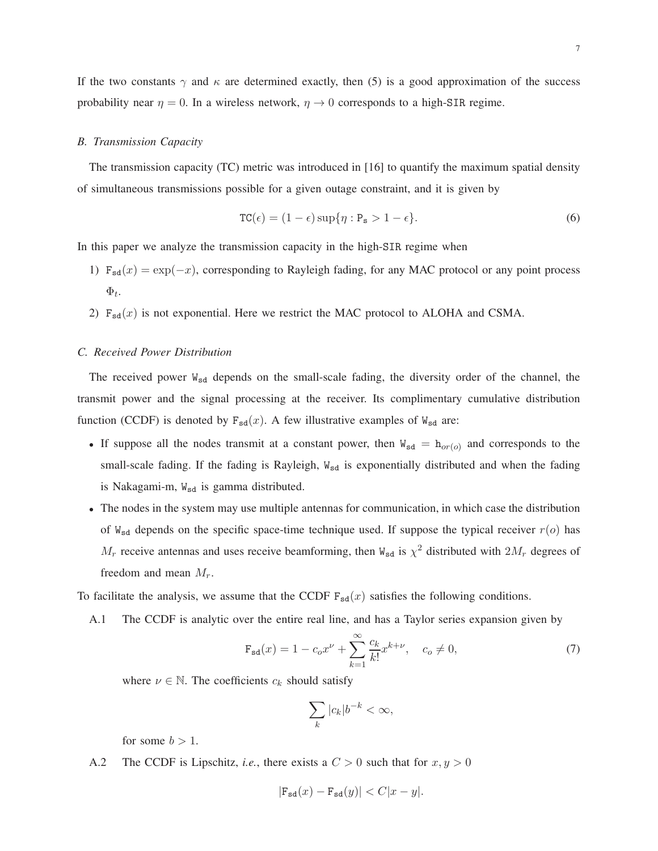# *B. Transmission Capacity*

The transmission capacity (TC) metric was introduced in [16] to quantify the maximum spatial density of simultaneous transmissions possible for a given outage constraint, and it is given by

$$
TC(\epsilon) = (1 - \epsilon) \sup \{ \eta : P_s > 1 - \epsilon \}. \tag{6}
$$

In this paper we analyze the transmission capacity in the high-SIR regime when

- 1)  $F_{sd}(x) = \exp(-x)$ , corresponding to Rayleigh fading, for any MAC protocol or any point process  $\Phi_t$ .
- 2)  $F_{sd}(x)$  is not exponential. Here we restrict the MAC protocol to ALOHA and CSMA.

# *C. Received Power Distribution*

The received power W<sub>sd</sub> depends on the small-scale fading, the diversity order of the channel, the transmit power and the signal processing at the receiver. Its complimentary cumulative distribution function (CCDF) is denoted by  $F_{sd}(x)$ . A few illustrative examples of  $W_{sd}$  are:

- If suppose all the nodes transmit at a constant power, then  $W_{sd} = h_{or(0)}$  and corresponds to the small-scale fading. If the fading is Rayleigh,  $W_{sd}$  is exponentially distributed and when the fading is Nakagami-m,  $W_{sd}$  is gamma distributed.
- The nodes in the system may use multiple antennas for communication, in which case the distribution of  $W_{sd}$  depends on the specific space-time technique used. If suppose the typical receiver  $r(o)$  has  $M_r$  receive antennas and uses receive beamforming, then  $W_{sd}$  is  $\chi^2$  distributed with  $2M_r$  degrees of freedom and mean  $M_r$ .

To facilitate the analysis, we assume that the CCDF  $F_{sd}(x)$  satisfies the following conditions.

A.1 The CCDF is analytic over the entire real line, and has a Taylor series expansion given by

$$
\mathbf{F}_{sd}(x) = 1 - c_0 x^{\nu} + \sum_{k=1}^{\infty} \frac{c_k}{k!} x^{k+\nu}, \quad c_0 \neq 0,
$$
 (7)

where  $\nu \in \mathbb{N}$ . The coefficients  $c_k$  should satisfy

$$
\sum_{k} |c_k| b^{-k} < \infty,
$$

for some  $b > 1$ .

A.2 The CCDF is Lipschitz, *i.e.*, there exists a  $C > 0$  such that for  $x, y > 0$ 

$$
|\mathbf{F}_{\mathbf{sd}}(x) - \mathbf{F}_{\mathbf{sd}}(y)| < C|x - y|.
$$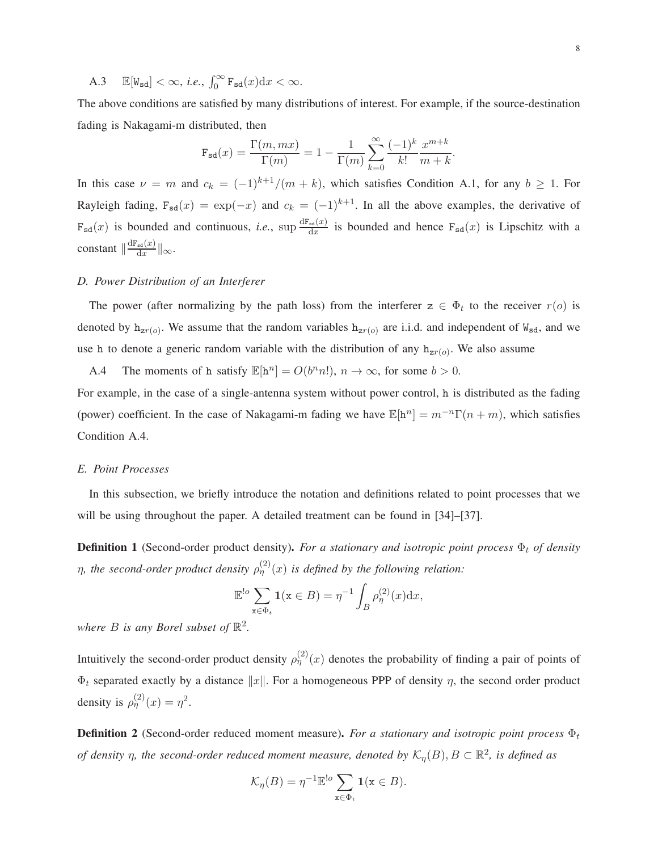The above conditions are satisfied by many distributions of interest. For example, if the source-destination fading is Nakagami-m distributed, then

$$
\mathbf{F}_{\mathbf{sd}}(x) = \frac{\Gamma(m, mx)}{\Gamma(m)} = 1 - \frac{1}{\Gamma(m)} \sum_{k=0}^{\infty} \frac{(-1)^k}{k!} \frac{x^{m+k}}{m+k}.
$$

In this case  $\nu = m$  and  $c_k = (-1)^{k+1}/(m+k)$ , which satisfies Condition A.1, for any  $b \ge 1$ . For Rayleigh fading,  $F_{sd}(x) = \exp(-x)$  and  $c_k = (-1)^{k+1}$ . In all the above examples, the derivative of  $F_{sd}(x)$  is bounded and continuous, *i.e.*, sup  $\frac{dF_{sd}(x)}{dx}$  $\frac{sd(\mathcal{L})}{dx}$  is bounded and hence  $F_{sd}(x)$  is Lipschitz with a constant  $\|\frac{dF_{sd}(x)}{dx}$  $\frac{\mathbf{S} \mathbf{d}(x)}{\mathbf{d}x}$   $\|$  $\infty$ .

# *D. Power Distribution of an Interferer*

The power (after normalizing by the path loss) from the interferenc  $z \in \Phi_t$  to the receiver  $r(o)$  is denoted by  $h_{zr(o)}$ . We assume that the random variables  $h_{zr(o)}$  are i.i.d. and independent of  $W_{sd}$ , and we use h to denote a generic random variable with the distribution of any  $h_{zr(o)}$ . We also assume

A.4 The moments of h satisfy  $\mathbb{E}[\mathbf{h}^n] = O(b^n n!)$ ,  $n \to \infty$ , for some  $b > 0$ .

For example, in the case of a single-antenna system without power control, h is distributed as the fading (power) coefficient. In the case of Nakagami-m fading we have  $\mathbb{E}[\mathbf{h}^n] = m^{-n}\Gamma(n+m)$ , which satisfies Condition A.4.

#### *E. Point Processes*

In this subsection, we briefly introduce the notation and definitions related to point processes that we will be using throughout the paper. A detailed treatment can be found in [34]–[37].

**Definition 1** (Second-order product density). *For a stationary and isotropic point process*  $\Phi_t$  *of density*  $\eta$ , the second-order product density  $\rho_{\eta}^{(2)}(x)$  is defined by the following relation:

$$
\mathbb{E}^{!o} \sum_{\mathbf{x} \in \Phi_t} \mathbf{1}(\mathbf{x} \in B) = \eta^{-1} \int_B \rho_{\eta}^{(2)}(x) \mathrm{d}x,
$$

where  $B$  is any Borel subset of  $\mathbb{R}^2$ .

Intuitively the second-order product density  $\rho_{\eta}^{(2)}(x)$  denotes the probability of finding a pair of points of  $\Phi_t$  separated exactly by a distance  $||x||$ . For a homogeneous PPP of density  $\eta$ , the second order product density is  $\rho_{\eta}^{(2)}(x) = \eta^2$ .

**Definition 2** (Second-order reduced moment measure). For a stationary and isotropic point process  $\Phi_t$ *of density*  $\eta$ , the second-order reduced moment measure, denoted by  $\mathcal{K}_{\eta}(B)$ ,  $B \subset \mathbb{R}^2$ , is defined as

$$
\mathcal{K}_{\eta}(B) = \eta^{-1} \mathbb{E}^{\mathsf{!o}} \sum_{\mathbf{x} \in \Phi_t} \mathbf{1}(\mathbf{x} \in B).
$$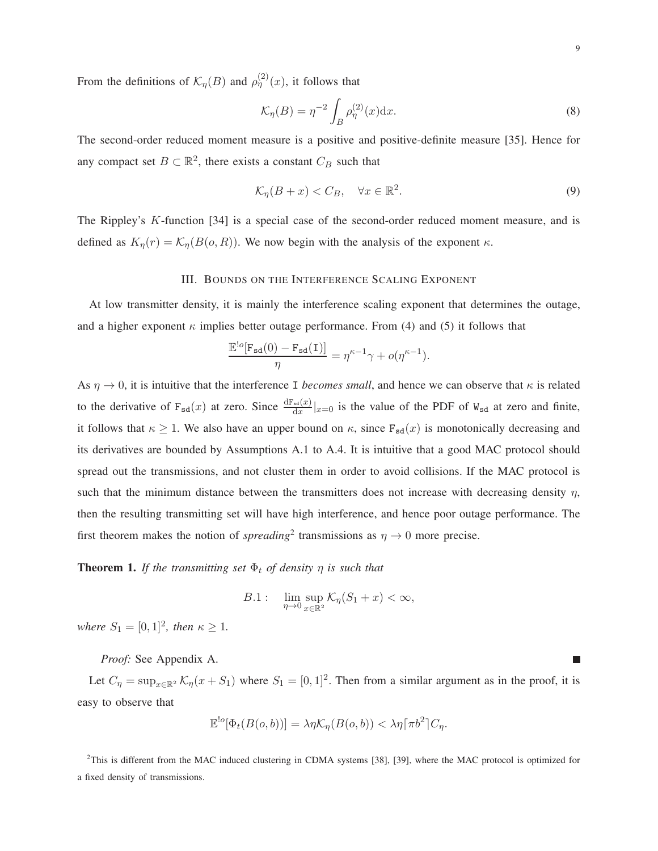From the definitions of  $\mathcal{K}_{\eta}(B)$  and  $\rho_{\eta}^{(2)}(x)$ , it follows that

$$
\mathcal{K}_{\eta}(B) = \eta^{-2} \int_{B} \rho_{\eta}^{(2)}(x) \mathrm{d}x. \tag{8}
$$

The second-order reduced moment measure is a positive and positive-definite measure [35]. Hence for any compact set  $B \subset \mathbb{R}^2$ , there exists a constant  $C_B$  such that

$$
\mathcal{K}_{\eta}(B+x) < C_B, \quad \forall x \in \mathbb{R}^2. \tag{9}
$$

The Rippley's K-function [34] is a special case of the second-order reduced moment measure, and is defined as  $K_n(r) = \mathcal{K}_n(B(o, R))$ . We now begin with the analysis of the exponent  $\kappa$ .

# III. BOUNDS ON THE INTERFERENCE SCALING EXPONENT

At low transmitter density, it is mainly the interference scaling exponent that determines the outage, and a higher exponent  $\kappa$  implies better outage performance. From (4) and (5) it follows that

$$
\frac{\mathbb{E}^{!\mathit{o}}[\mathbf{F}_{\mathbf{s}\mathbf{d}}(0)-\mathbf{F}_{\mathbf{s}\mathbf{d}}(\mathtt{I})]}{\eta}=\eta^{\kappa-1}\gamma+o(\eta^{\kappa-1}).
$$

As  $\eta \to 0$ , it is intuitive that the interference I *becomes small*, and hence we can observe that  $\kappa$  is related to the derivative of  $F_{sd}(x)$  at zero. Since  $\frac{dF_{sd}(x)}{dx}|_{x=0}$  is the value of the PDF of  $W_{sd}$  at zero and finite, it follows that  $\kappa \ge 1$ . We also have an upper bound on  $\kappa$ , since  $F_{sd}(x)$  is monotonically decreasing and its derivatives are bounded by Assumptions A.1 to A.4. It is intuitive that a good MAC protocol should spread out the transmissions, and not cluster them in order to avoid collisions. If the MAC protocol is such that the minimum distance between the transmitters does not increase with decreasing density  $\eta$ , then the resulting transmitting set will have high interference, and hence poor outage performance. The first theorem makes the notion of *spreading*<sup>2</sup> transmissions as  $\eta \to 0$  more precise.

**Theorem 1.** *If the transmitting set*  $\Phi_t$  *of density*  $\eta$  *is such that* 

$$
B.1: \lim_{\eta \to 0} \sup_{x \in \mathbb{R}^2} \mathcal{K}_{\eta}(S_1 + x) < \infty,
$$

*where*  $S_1 = [0, 1]^2$ *, then*  $\kappa \ge 1$ *.* 

*Proof:* See Appendix A.

Let  $C_{\eta} = \sup_{x \in \mathbb{R}^2} \mathcal{K}_{\eta}(x + S_1)$  where  $S_1 = [0, 1]^2$ . Then from a similar argument as in the proof, it is easy to observe that

$$
\mathbb{E}^{!o}[\Phi_t(B(o,b))] = \lambda \eta \mathcal{K}_\eta(B(o,b)) < \lambda \eta [\pi b^2] C_\eta.
$$

<sup>2</sup>This is different from the MAC induced clustering in CDMA systems [38], [39], where the MAC protocol is optimized for a fixed density of transmissions.

T.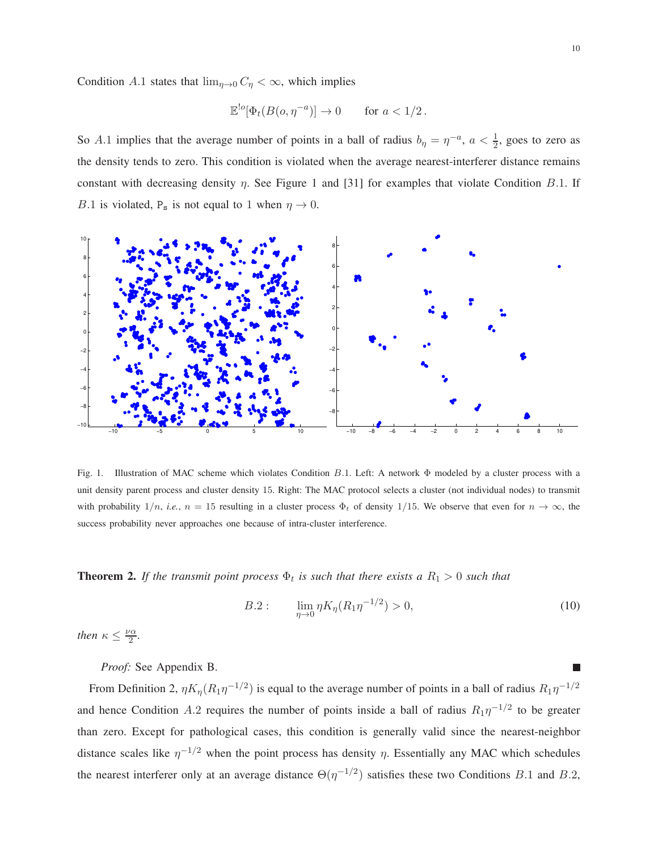Condition A.1 states that  $\lim_{\eta \to 0} C_{\eta} < \infty$ , which implies

$$
\mathbb{E}^{!o}[\Phi_t(B(o, \eta^{-a})] \to 0 \quad \text{for } a < 1/2.
$$

So A.1 implies that the average number of points in a ball of radius  $b_{\eta} = \eta^{-a}$ ,  $a < \frac{1}{2}$ , goes to zero as the density tends to zero. This condition is violated when the average nearest-interferer distance remains constant with decreasing density  $\eta$ . See Figure 1 and [31] for examples that violate Condition B.1. If B.1 is violated,  $P_s$  is not equal to 1 when  $\eta \to 0$ .



Fig. 1. Illustration of MAC scheme which violates Condition B.1. Left: A network Φ modeled by a cluster process with a unit density parent process and cluster density 15. Right: The MAC protocol selects a cluster (not individual nodes) to transmit with probability  $1/n$ , *i.e.*,  $n = 15$  resulting in a cluster process  $\Phi_t$  of density 1/15. We observe that even for  $n \to \infty$ , the success probability never approaches one because of intra-cluster interference.

**Theorem 2.** If the transmit point process  $\Phi_t$  is such that there exists a  $R_1 > 0$  such that

$$
B.2: \qquad \lim_{\eta \to 0} \eta K_{\eta} (R_1 \eta^{-1/2}) > 0, \tag{10}
$$

*then*  $\kappa \leq \frac{\nu \alpha}{2}$  $\frac{2}{2}$ .

*Proof:* See Appendix B.

From Definition 2,  $\eta K_{\eta} (R_1 \eta^{-1/2})$  is equal to the average number of points in a ball of radius  $R_1 \eta^{-1/2}$ and hence Condition A.2 requires the number of points inside a ball of radius  $R_1\eta^{-1/2}$  to be greater than zero. Except for pathological cases, this condition is generally valid since the nearest-neighbor distance scales like  $\eta^{-1/2}$  when the point process has density  $\eta$ . Essentially any MAC which schedules the nearest interferer only at an average distance  $\Theta(\eta^{-1/2})$  satisfies these two Conditions B.1 and B.2,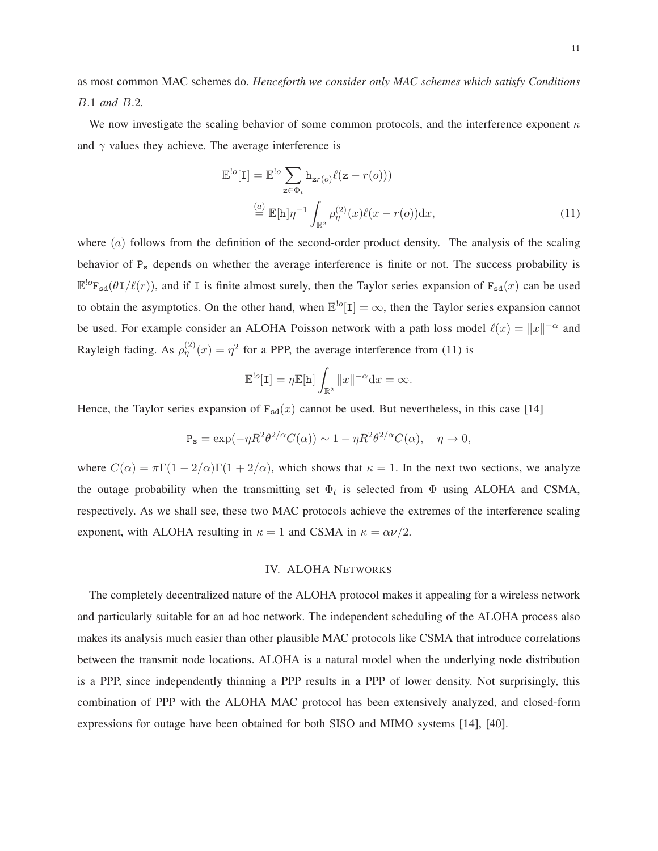as most common MAC schemes do. *Henceforth we consider only MAC schemes which satisfy Conditions* B.1 *and* B.2*.*

We now investigate the scaling behavior of some common protocols, and the interference exponent  $\kappa$ and  $\gamma$  values they achieve. The average interference is

$$
\mathbb{E}^{!o}[\mathbf{I}] = \mathbb{E}^{!o} \sum_{\mathbf{z} \in \Phi_t} \mathbf{h}_{\mathbf{z}r(o)} \ell(\mathbf{z} - r(o)))
$$
  
\n
$$
\stackrel{(a)}{=} \mathbb{E}[\mathbf{h}]\eta^{-1} \int_{\mathbb{R}^2} \rho_{\eta}^{(2)}(x)\ell(x - r(o)) \mathrm{d}x,
$$
\n(11)

where  $(a)$  follows from the definition of the second-order product density. The analysis of the scaling behavior of P<sub>s</sub> depends on whether the average interference is finite or not. The success probability is  $\mathbb{E}^{\log}F_{sd}(\theta I/\ell(r))$ , and if I is finite almost surely, then the Taylor series expansion of  $F_{sd}(x)$  can be used to obtain the asymptotics. On the other hand, when  $\mathbb{E}^{!o}[\mathbf{I}] = \infty$ , then the Taylor series expansion cannot be used. For example consider an ALOHA Poisson network with a path loss model  $\ell(x) = ||x||^{-\alpha}$  and Rayleigh fading. As  $\rho_{\eta}^{(2)}(x) = \eta^2$  for a PPP, the average interference from (11) is

$$
\mathbb{E}^{!o}[\mathbf{I}] = \eta \mathbb{E}[\mathbf{h}] \int_{\mathbb{R}^2} ||x||^{-\alpha} \mathrm{d}x = \infty.
$$

Hence, the Taylor series expansion of  $F_{sd}(x)$  cannot be used. But nevertheless, in this case [14]

$$
P_s = \exp(-\eta R^2 \theta^{2/\alpha} C(\alpha)) \sim 1 - \eta R^2 \theta^{2/\alpha} C(\alpha), \quad \eta \to 0,
$$

where  $C(\alpha) = \pi \Gamma(1 - 2/\alpha)\Gamma(1 + 2/\alpha)$ , which shows that  $\kappa = 1$ . In the next two sections, we analyze the outage probability when the transmitting set  $\Phi_t$  is selected from  $\Phi$  using ALOHA and CSMA, respectively. As we shall see, these two MAC protocols achieve the extremes of the interference scaling exponent, with ALOHA resulting in  $\kappa = 1$  and CSMA in  $\kappa = \alpha \nu/2$ .

# IV. ALOHA NETWORKS

The completely decentralized nature of the ALOHA protocol makes it appealing for a wireless network and particularly suitable for an ad hoc network. The independent scheduling of the ALOHA process also makes its analysis much easier than other plausible MAC protocols like CSMA that introduce correlations between the transmit node locations. ALOHA is a natural model when the underlying node distribution is a PPP, since independently thinning a PPP results in a PPP of lower density. Not surprisingly, this combination of PPP with the ALOHA MAC protocol has been extensively analyzed, and closed-form expressions for outage have been obtained for both SISO and MIMO systems [14], [40].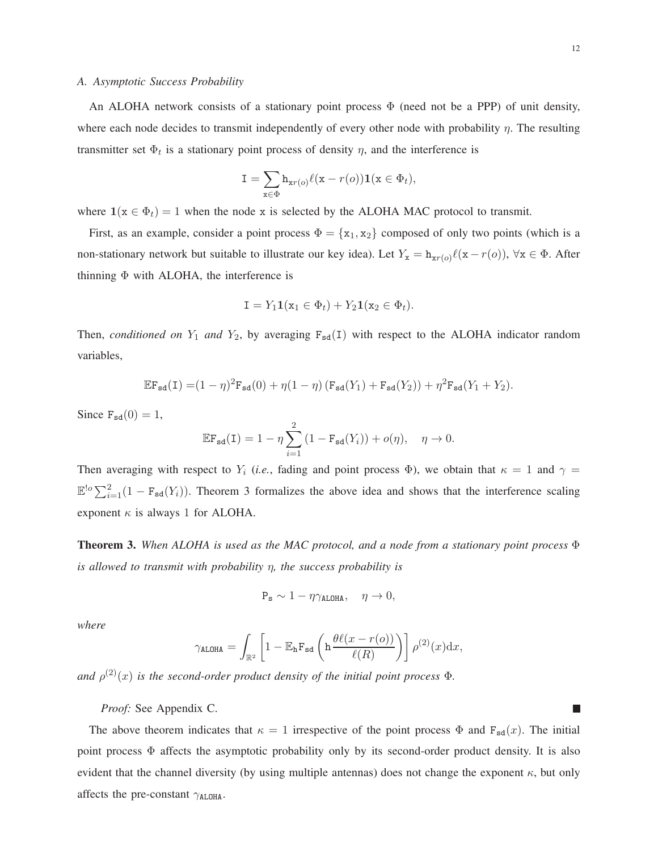#### *A. Asymptotic Success Probability*

An ALOHA network consists of a stationary point process  $\Phi$  (need not be a PPP) of unit density, where each node decides to transmit independently of every other node with probability  $\eta$ . The resulting transmitter set  $\Phi_t$  is a stationary point process of density  $\eta$ , and the interference is

$$
\mathbf{I} = \sum_{\mathbf{x} \in \Phi} \mathbf{h}_{\mathbf{x}r(o)} \ell(\mathbf{x} - r(o)) \mathbf{1}(\mathbf{x} \in \Phi_t),
$$

where  $1(x \in \Phi_t) = 1$  when the node x is selected by the ALOHA MAC protocol to transmit.

First, as an example, consider a point process  $\Phi = {\mathbf{x}_1, \mathbf{x}_2}$  composed of only two points (which is a non-stationary network but suitable to illustrate our key idea). Let  $Y_x = h_{xr}(o)\ell(x - r(o))$ ,  $\forall x \in \Phi$ . After thinning  $\Phi$  with ALOHA, the interference is

$$
\mathbf{I} = Y_1 \mathbf{1}(\mathbf{x}_1 \in \Phi_t) + Y_2 \mathbf{1}(\mathbf{x}_2 \in \Phi_t).
$$

Then, *conditioned on*  $Y_1$  *and*  $Y_2$ , by averaging  $F_{sd}(I)$  with respect to the ALOHA indicator random variables,

$$
\mathbb{E}\mathbf{F}_{\mathbf{sd}}(\mathbf{I}) = (1-\eta)^2 \mathbf{F}_{\mathbf{sd}}(0) + \eta(1-\eta) \left(\mathbf{F}_{\mathbf{sd}}(Y_1) + \mathbf{F}_{\mathbf{sd}}(Y_2)\right) + \eta^2 \mathbf{F}_{\mathbf{sd}}(Y_1 + Y_2).
$$

Since  $F_{sd}(0) = 1$ ,

$$
\mathbb{E}\mathbf{F}_{\text{sd}}(\mathbf{I}) = 1 - \eta \sum_{i=1}^{2} (1 - \mathbf{F}_{\text{sd}}(Y_i)) + o(\eta), \quad \eta \to 0.
$$

Then averaging with respect to  $Y_i$  (*i.e.*, fading and point process  $\Phi$ ), we obtain that  $\kappa = 1$  and  $\gamma =$  $\mathbb{E}^{\log} \sum_{i=1}^{2} (1 - F_{sd}(Y_i))$ . Theorem 3 formalizes the above idea and shows that the interference scaling exponent  $\kappa$  is always 1 for ALOHA.

**Theorem 3.** *When ALOHA is used as the MAC protocol, and a node from a stationary point process* Φ *is allowed to transmit with probability* η*, the success probability is*

$$
P_{s} \sim 1 - \eta \gamma_{ALOHA}, \quad \eta \to 0,
$$

*where*

$$
\gamma_{\text{ALOHA}} = \int_{\mathbb{R}^2} \left[ 1 - \mathbb{E}_{\mathbf{h}} \mathbf{F}_{\text{sd}} \left( \mathbf{h} \frac{\theta \ell(x - r(o))}{\ell(R)} \right) \right] \rho^{(2)}(x) dx,
$$

and  $\rho^{(2)}(x)$  *is the second-order product density of the initial point process*  $\Phi$ *.* 

*Proof:* See Appendix C.

The above theorem indicates that  $\kappa = 1$  irrespective of the point process  $\Phi$  and  $F_{sd}(x)$ . The initial point process Φ affects the asymptotic probability only by its second-order product density. It is also evident that the channel diversity (by using multiple antennas) does not change the exponent  $\kappa$ , but only affects the pre-constant  $\gamma_{ALOHA}$ .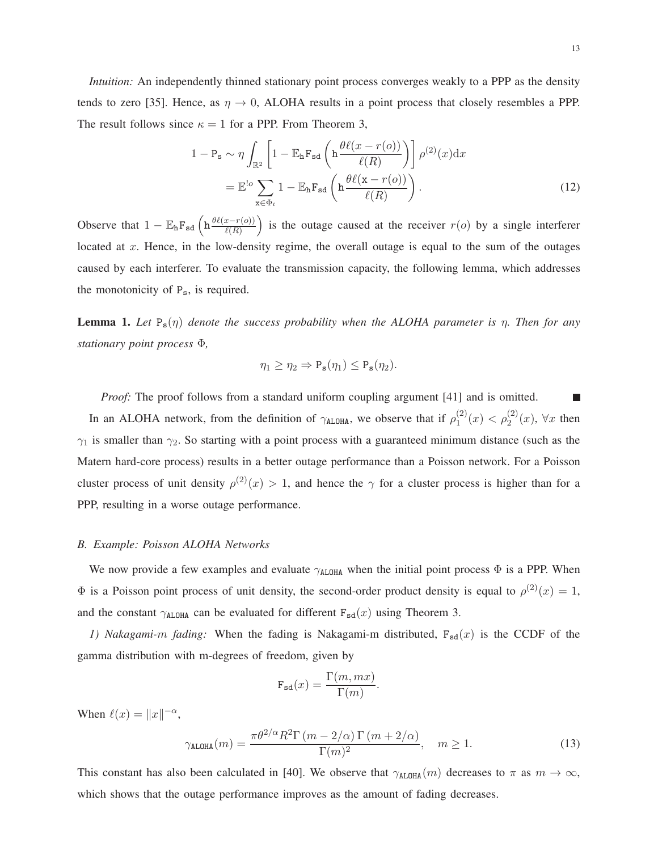*Intuition:* An independently thinned stationary point process converges weakly to a PPP as the density tends to zero [35]. Hence, as  $\eta \to 0$ , ALOHA results in a point process that closely resembles a PPP. The result follows since  $\kappa = 1$  for a PPP. From Theorem 3,

$$
1 - P_{s} \sim \eta \int_{\mathbb{R}^{2}} \left[ 1 - \mathbb{E}_{h} F_{sd} \left( h \frac{\theta \ell(x - r(o))}{\ell(R)} \right) \right] \rho^{(2)}(x) dx
$$

$$
= \mathbb{E}^{lo} \sum_{x \in \Phi_{t}} 1 - \mathbb{E}_{h} F_{sd} \left( h \frac{\theta \ell(x - r(o))}{\ell(R)} \right).
$$
(12)

Observe that  $1 - \mathbb{E}_{\mathbf{h}} \mathbf{F}_{\mathbf{s}d} \left( \mathbf{h} \frac{\theta \ell(x - r(o))}{\ell(R)} \right)$ ) is the outage caused at the receiver  $r(o)$  by a single interferer located at x. Hence, in the low-density regime, the overall outage is equal to the sum of the outages caused by each interferer. To evaluate the transmission capacity, the following lemma, which addresses the monotonicity of  $P_s$ , is required.

**Lemma 1.** *Let*  $P_s(\eta)$  *denote the success probability when the ALOHA parameter is*  $\eta$ *. Then for any stationary point process* Φ*,*

$$
\eta_1 \geq \eta_2 \Rightarrow P_{\mathbf{s}}(\eta_1) \leq P_{\mathbf{s}}(\eta_2).
$$

*Proof:* The proof follows from a standard uniform coupling argument [41] and is omitted.  $\Box$ In an ALOHA network, from the definition of  $\gamma_{\text{ALOHA}}$ , we observe that if  $\rho_1^{(2)}$  $\eta_1^{(2)}(x) < \rho_2^{(2)}(x)$ ,  $\forall x$  then  $\gamma_1$  is smaller than  $\gamma_2$ . So starting with a point process with a guaranteed minimum distance (such as the Matern hard-core process) results in a better outage performance than a Poisson network. For a Poisson cluster process of unit density  $\rho^{(2)}(x) > 1$ , and hence the  $\gamma$  for a cluster process is higher than for a PPP, resulting in a worse outage performance.

### *B. Example: Poisson ALOHA Networks*

We now provide a few examples and evaluate  $\gamma_{ALOHA}$  when the initial point process  $\Phi$  is a PPP. When  $\Phi$  is a Poisson point process of unit density, the second-order product density is equal to  $\rho^{(2)}(x) = 1$ , and the constant  $\gamma_{\text{ALOHA}}$  can be evaluated for different  $F_{sd}(x)$  using Theorem 3.

*1) Nakagami-m fading:* When the fading is Nakagami-m distributed,  $F_{sd}(x)$  is the CCDF of the gamma distribution with m-degrees of freedom, given by

$$
\mathbf{F}_{\mathbf{sd}}(x) = \frac{\Gamma(m, mx)}{\Gamma(m)}.
$$

When  $\ell(x) = ||x||^{-\alpha}$ ,

$$
\gamma_{\text{ALOHA}}(m) = \frac{\pi \theta^{2/\alpha} R^2 \Gamma(m - 2/\alpha) \Gamma(m + 2/\alpha)}{\Gamma(m)^2}, \quad m \ge 1.
$$
 (13)

This constant has also been calculated in [40]. We observe that  $\gamma_{\text{ALOHA}}(m)$  decreases to  $\pi$  as  $m \to \infty$ , which shows that the outage performance improves as the amount of fading decreases.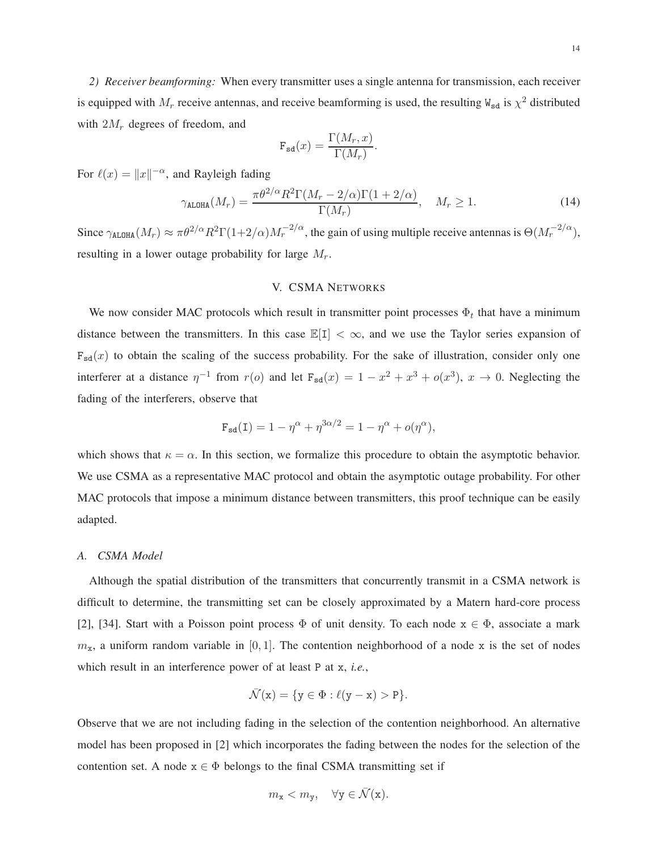$$
\mathbf{F}_{\text{sd}}(x) = \frac{\Gamma(M_r, x)}{\Gamma(M_r)}.
$$

For  $\ell(x) = ||x||^{-\alpha}$ , and Rayleigh fading

$$
\gamma_{\text{ALOHA}}(M_r) = \frac{\pi \theta^{2/\alpha} R^2 \Gamma(M_r - 2/\alpha) \Gamma(1 + 2/\alpha)}{\Gamma(M_r)}, \quad M_r \ge 1.
$$
\n(14)

Since  $\gamma_{\text{ALOHA}}(M_r) \approx \pi \theta^{2/\alpha} R^2 \Gamma(1+2/\alpha) M_r^{-2/\alpha}$ , the gain of using multiple receive antennas is  $\Theta(M_r^{-2/\alpha})$ , resulting in a lower outage probability for large  $M_r$ .

# V. CSMA NETWORKS

We now consider MAC protocols which result in transmitter point processes  $\Phi_t$  that have a minimum distance between the transmitters. In this case  $\mathbb{E}[I] < \infty$ , and we use the Taylor series expansion of  $F_{sd}(x)$  to obtain the scaling of the success probability. For the sake of illustration, consider only one interferer at a distance  $\eta^{-1}$  from  $r(o)$  and let  $F_{sd}(x) = 1 - x^2 + x^3 + o(x^3)$ ,  $x \to 0$ . Neglecting the fading of the interferers, observe that

$$
\mathbf{F}_{\mathbf{sd}}(\mathbf{I}) = 1 - \eta^{\alpha} + \eta^{3\alpha/2} = 1 - \eta^{\alpha} + o(\eta^{\alpha}),
$$

which shows that  $\kappa = \alpha$ . In this section, we formalize this procedure to obtain the asymptotic behavior. We use CSMA as a representative MAC protocol and obtain the asymptotic outage probability. For other MAC protocols that impose a minimum distance between transmitters, this proof technique can be easily adapted.

# *A. CSMA Model*

Although the spatial distribution of the transmitters that concurrently transmit in a CSMA network is difficult to determine, the transmitting set can be closely approximated by a Matern hard-core process [2], [34]. Start with a Poisson point process  $\Phi$  of unit density. To each node  $x \in \Phi$ , associate a mark  $m_x$ , a uniform random variable in [0, 1]. The contention neighborhood of a node x is the set of nodes which result in an interference power of at least P at x, *i.e.*,

$$
\bar{\mathcal{N}}(x)=\{y\in \Phi:\ell(y-x)>P\}.
$$

Observe that we are not including fading in the selection of the contention neighborhood. An alternative model has been proposed in [2] which incorporates the fading between the nodes for the selection of the contention set. A node  $x \in \Phi$  belongs to the final CSMA transmitting set if

$$
m_{\mathbf{x}} < m_{\mathbf{y}}, \quad \forall \mathbf{y} \in \bar{\mathcal{N}}(\mathbf{x}).
$$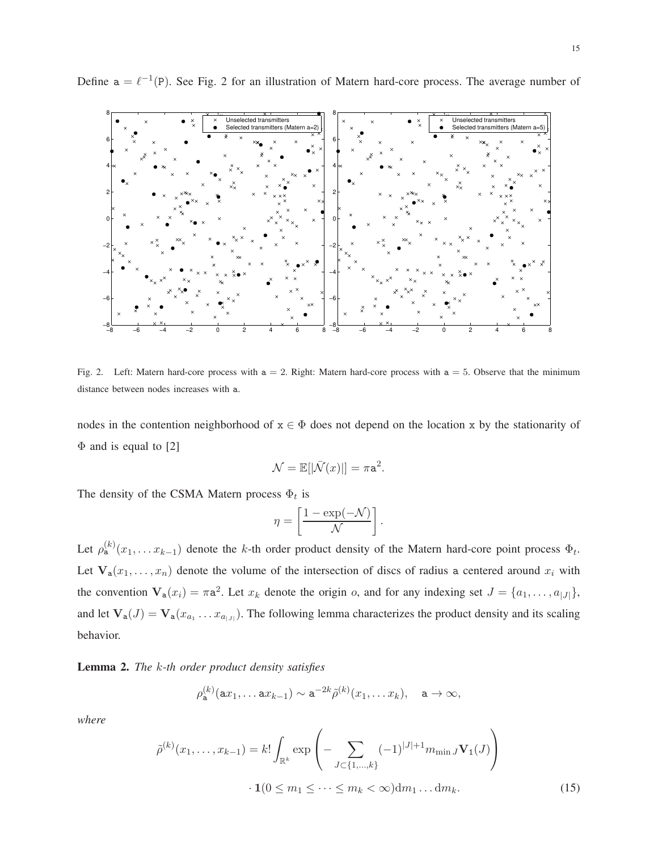

Define  $a = \ell^{-1}(P)$ . See Fig. 2 for an illustration of Matern hard-core process. The average number of

Fig. 2. Left: Matern hard-core process with  $a = 2$ . Right: Matern hard-core process with  $a = 5$ . Observe that the minimum distance between nodes increases with a.

nodes in the contention neighborhood of  $x \in \Phi$  does not depend on the location x by the stationarity of  $\Phi$  and is equal to [2]

$$
\mathcal{N} = \mathbb{E}[|\bar{\mathcal{N}}(x)|] = \pi a^2.
$$

The density of the CSMA Matern process  $\Phi_t$  is

$$
\eta = \left[\frac{1 - \exp(-\mathcal{N})}{\mathcal{N}}\right].
$$

Let  $\rho_{a}^{(k)}(x_1,\ldots x_{k-1})$  denote the k-th order product density of the Matern hard-core point process  $\Phi_t$ . Let  $V_a(x_1,...,x_n)$  denote the volume of the intersection of discs of radius a centered around  $x_i$  with the convention  $V_a(x_i) = \pi a^2$ . Let  $x_k$  denote the origin o, and for any indexing set  $J = \{a_1, \ldots, a_{|J|}\},$ and let  $V_a(J) = V_a(x_{a_1} \dots x_{a_{|J|}})$ . The following lemma characterizes the product density and its scaling behavior.

**Lemma 2.** *The* k*-th order product density satisfies*

$$
\rho_{\mathbf{a}}^{(k)}(\mathbf{a}x_1,\ldots \mathbf{a}x_{k-1}) \sim \mathbf{a}^{-2k}\tilde{\rho}^{(k)}(x_1,\ldots x_k), \quad \mathbf{a} \to \infty,
$$

*where*

$$
\tilde{\rho}^{(k)}(x_1, \dots, x_{k-1}) = k! \int_{\mathbb{R}^k} \exp\left(-\sum_{J \subset \{1, \dots, k\}} (-1)^{|J|+1} m_{\min J} \mathbf{V}_1(J)\right) \cdot \mathbf{1}(0 \le m_1 \le \dots \le m_k < \infty) \, \mathrm{d}m_1 \dots \, \mathrm{d}m_k. \tag{15}
$$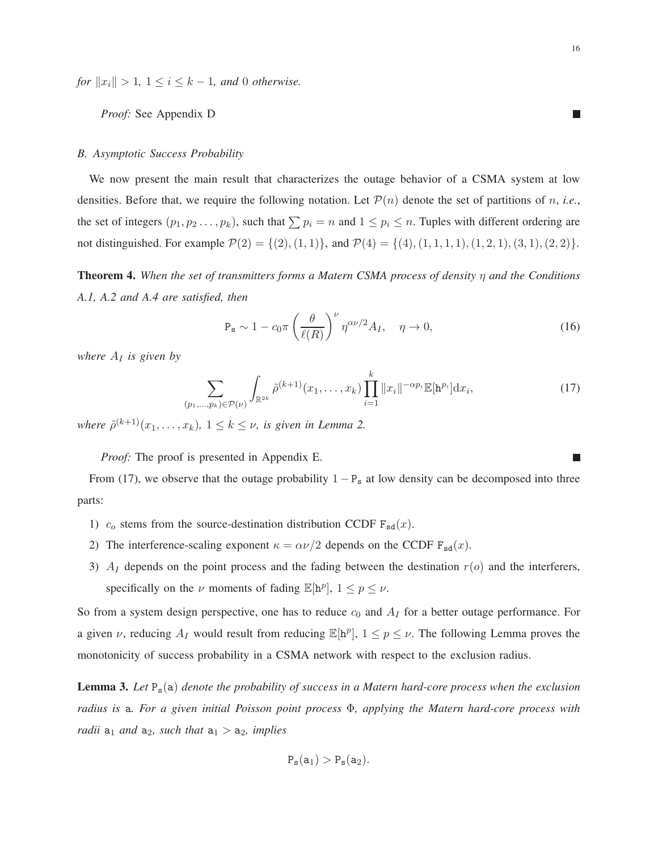*for*  $||x_i|| > 1$ ,  $1 \le i \le k - 1$ *, and* 0 *otherwise.* 

*Proof:* See Appendix D

# *B. Asymptotic Success Probability*

We now present the main result that characterizes the outage behavior of a CSMA system at low densities. Before that, we require the following notation. Let  $\mathcal{P}(n)$  denote the set of partitions of n, *i.e.*, the set of integers  $(p_1, p_2 \ldots, p_k)$ , such that  $\sum p_i = n$  and  $1 \leq p_i \leq n$ . Tuples with different ordering are not distinguished. For example  $\mathcal{P}(2) = \{(2), (1, 1)\}\$ , and  $\mathcal{P}(4) = \{(4), (1, 1, 1, 1), (1, 2, 1), (3, 1), (2, 2)\}\$ .

**Theorem 4.** *When the set of transmitters forms a Matern CSMA process of density* η *and the Conditions A.1, A.2 and A.4 are satisfied, then*

$$
P_s \sim 1 - c_0 \pi \left(\frac{\theta}{\ell(R)}\right)^{\nu} \eta^{\alpha \nu/2} A_I, \quad \eta \to 0,
$$
\n(16)

*where*  $A_I$  *is given by* 

$$
\sum_{(p_1,\ldots,p_k)\in\mathcal{P}(\nu)}\int_{\mathbb{R}^{2k}}\tilde{\rho}^{(k+1)}(x_1,\ldots,x_k)\prod_{i=1}^k\|x_i\|^{-\alpha p_i}\mathbb{E}[\mathbf{h}^{p_i}]\mathrm{d}x_i,
$$
\n(17)

where  $\tilde{\rho}^{(k+1)}(x_1,\ldots,x_k)$ ,  $1 \leq k \leq \nu$ , is given in Lemma 2.

*Proof:* The proof is presented in Appendix E.

From (17), we observe that the outage probability  $1 - P_s$  at low density can be decomposed into three parts:

- 1)  $c_0$  stems from the source-destination distribution CCDF  $F_{sd}(x)$ .
- 2) The interference-scaling exponent  $\kappa = \alpha \nu/2$  depends on the CCDF  $F_{sd}(x)$ .
- 3)  $A_I$  depends on the point process and the fading between the destination  $r(o)$  and the interferers, specifically on the  $\nu$  moments of fading  $\mathbb{E}[h^p]$ ,  $1 \leq p \leq \nu$ .

So from a system design perspective, one has to reduce  $c_0$  and  $A_I$  for a better outage performance. For a given  $\nu$ , reducing  $A_I$  would result from reducing  $\mathbb{E}[\mathbf{h}^p]$ ,  $1 \le p \le \nu$ . The following Lemma proves the monotonicity of success probability in a CSMA network with respect to the exclusion radius.

**Lemma 3.** *Let* Ps(a) *denote the probability of success in a Matern hard-core process when the exclusion radius is* a*. For a given initial Poisson point process* Φ*, applying the Matern hard-core process with radii*  $a_1$  *and*  $a_2$ *, such that*  $a_1 > a_2$ *, implies* 

$$
P_{\mathbf{s}}(a_1) > P_{\mathbf{s}}(a_2).
$$

П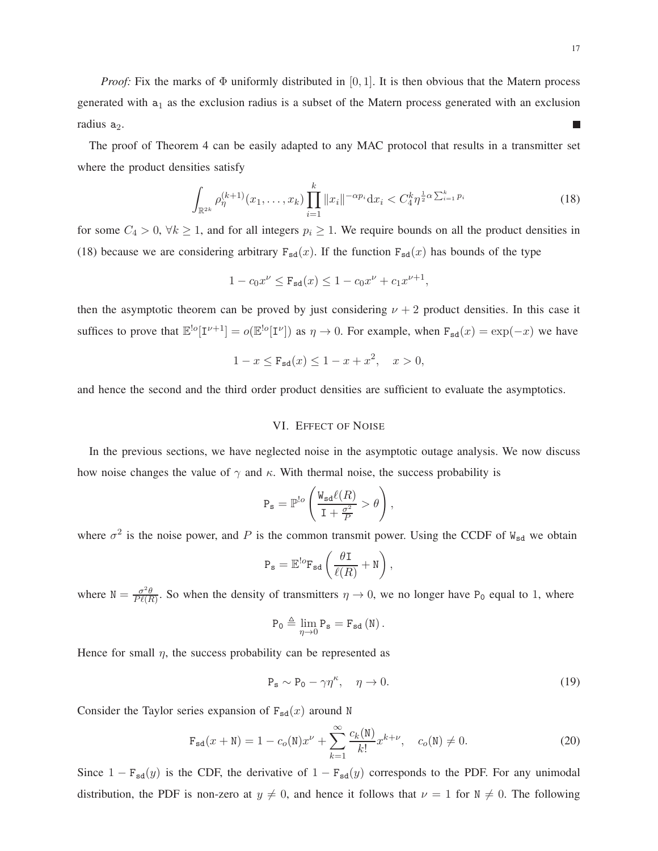*Proof:* Fix the marks of  $\Phi$  uniformly distributed in [0, 1]. It is then obvious that the Matern process generated with  $a_1$  as the exclusion radius is a subset of the Matern process generated with an exclusion radius  $a_2$ .  $\mathcal{L}_{\mathcal{A}}$ 

The proof of Theorem 4 can be easily adapted to any MAC protocol that results in a transmitter set where the product densities satisfy

$$
\int_{\mathbb{R}^{2k}} \rho_{\eta}^{(k+1)}(x_1,\ldots,x_k) \prod_{i=1}^k \|x_i\|^{-\alpha p_i} dx_i \langle C_4^k \eta^{\frac{1}{2}\alpha \sum_{i=1}^k p_i} \tag{18}
$$

for some  $C_4 > 0$ ,  $\forall k \ge 1$ , and for all integers  $p_i \ge 1$ . We require bounds on all the product densities in (18) because we are considering arbitrary  $F_{sd}(x)$ . If the function  $F_{sd}(x)$  has bounds of the type

$$
1 - c_0 x^{\nu} \le \mathbf{F}_{\mathbf{sd}}(x) \le 1 - c_0 x^{\nu} + c_1 x^{\nu+1},
$$

then the asymptotic theorem can be proved by just considering  $\nu + 2$  product densities. In this case it suffices to prove that  $\mathbb{E}^{\lfloor o}[\mathbf{I}^{\nu+1}] = o(\mathbb{E}^{\lfloor o}[\mathbf{I}^{\nu}])$  as  $\eta \to 0$ . For example, when  $F_{sd}(x) = \exp(-x)$  we have

$$
1 - x \le F_{sd}(x) \le 1 - x + x^2, \quad x > 0,
$$

and hence the second and the third order product densities are sufficient to evaluate the asymptotics.

# VI. EFFECT OF NOISE

In the previous sections, we have neglected noise in the asymptotic outage analysis. We now discuss how noise changes the value of  $\gamma$  and  $\kappa$ . With thermal noise, the success probability is

$$
\mathbf{P}_{\mathbf{s}} = \mathbb{P}^{!o}\left(\frac{\mathbf{W}_{\mathbf{sd}}\ell(R)}{\mathbf{I} + \frac{\sigma^2}{P}} > \theta\right),\,
$$

where  $\sigma^2$  is the noise power, and P is the common transmit power. Using the CCDF of  $W_{sd}$  we obtain

$$
\mathbf{P}_{\mathbf{s}} = \mathbb{E}^{!o} \mathbf{F}_{\mathbf{sd}} \left( \frac{\theta \mathbf{I}}{\ell(R)} + \mathbf{N} \right),
$$

where  $N = \frac{\sigma^2 \theta}{P \ell E}$  $\frac{\sigma^2 \theta}{P(\ell R)}$ . So when the density of transmitters  $\eta \to 0$ , we no longer have P<sub>0</sub> equal to 1, where

$$
P_{0}\triangleq\lim_{\eta\rightarrow0}P_{\mathtt{s}}=F_{\mathtt{sd}}\left(N\right).
$$

Hence for small  $\eta$ , the success probability can be represented as

$$
P_s \sim P_0 - \gamma \eta^{\kappa}, \quad \eta \to 0. \tag{19}
$$

Consider the Taylor series expansion of  $F_{sd}(x)$  around N

$$
\mathbf{F}_{sd}(x + N) = 1 - c_o(N)x^{\nu} + \sum_{k=1}^{\infty} \frac{c_k(N)}{k!} x^{k+\nu}, \quad c_o(N) \neq 0.
$$
 (20)

Since  $1 - F_{sd}(y)$  is the CDF, the derivative of  $1 - F_{sd}(y)$  corresponds to the PDF. For any unimodal distribution, the PDF is non-zero at  $y \neq 0$ , and hence it follows that  $\nu = 1$  for  $N \neq 0$ . The following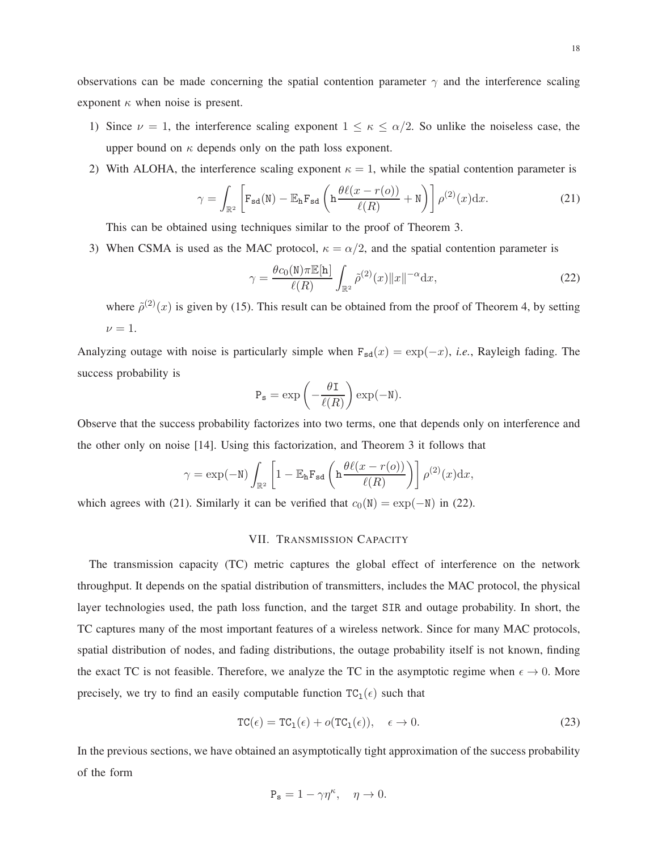observations can be made concerning the spatial contention parameter  $\gamma$  and the interference scaling exponent  $\kappa$  when noise is present.

- 1) Since  $\nu = 1$ , the interference scaling exponent  $1 \le \kappa \le \alpha/2$ . So unlike the noiseless case, the upper bound on  $\kappa$  depends only on the path loss exponent.
- 2) With ALOHA, the interference scaling exponent  $\kappa = 1$ , while the spatial contention parameter is

$$
\gamma = \int_{\mathbb{R}^2} \left[ \mathbf{F}_{\mathbf{sd}}(\mathbf{N}) - \mathbb{E}_{\mathbf{h}} \mathbf{F}_{\mathbf{sd}} \left( \mathbf{h} \frac{\theta \ell(x - r(o))}{\ell(R)} + \mathbf{N} \right) \right] \rho^{(2)}(x) dx.
$$
 (21)

This can be obtained using techniques similar to the proof of Theorem 3.

3) When CSMA is used as the MAC protocol,  $\kappa = \alpha/2$ , and the spatial contention parameter is

$$
\gamma = \frac{\theta c_0(\mathbf{N}) \pi \mathbb{E}[\mathbf{h}]}{\ell(R)} \int_{\mathbb{R}^2} \tilde{\rho}^{(2)}(x) \|x\|^{-\alpha} \mathrm{d}x,\tag{22}
$$

where  $\tilde{\rho}^{(2)}(x)$  is given by (15). This result can be obtained from the proof of Theorem 4, by setting  $\nu = 1$ .

Analyzing outage with noise is particularly simple when  $F_{sd}(x) = \exp(-x)$ , *i.e.*, Rayleigh fading. The success probability is

$$
P_{s} = \exp\left(-\frac{\theta I}{\ell(R)}\right) \exp(-N).
$$

Observe that the success probability factorizes into two terms, one that depends only on interference and the other only on noise [14]. Using this factorization, and Theorem 3 it follows that

$$
\gamma = \exp(-\mathsf{N}) \int_{\mathbb{R}^2} \left[ 1 - \mathbb{E}_{\mathbf{h}} \mathbf{F}_{\mathbf{sd}} \left( \mathbf{h} \frac{\theta \ell(x - r(o))}{\ell(R)} \right) \right] \rho^{(2)}(x) dx,
$$

which agrees with (21). Similarly it can be verified that  $c_0(N) = \exp(-N)$  in (22).

# VII. TRANSMISSION CAPACITY

The transmission capacity (TC) metric captures the global effect of interference on the network throughput. It depends on the spatial distribution of transmitters, includes the MAC protocol, the physical layer technologies used, the path loss function, and the target SIR and outage probability. In short, the TC captures many of the most important features of a wireless network. Since for many MAC protocols, spatial distribution of nodes, and fading distributions, the outage probability itself is not known, finding the exact TC is not feasible. Therefore, we analyze the TC in the asymptotic regime when  $\epsilon \to 0$ . More precisely, we try to find an easily computable function  $TC_1(\epsilon)$  such that

$$
TC(\epsilon) = TC_1(\epsilon) + o(TC_1(\epsilon)), \quad \epsilon \to 0.
$$
 (23)

In the previous sections, we have obtained an asymptotically tight approximation of the success probability of the form

$$
\mathbf{P_s} = 1 - \gamma \eta^{\kappa}, \quad \eta \to 0.
$$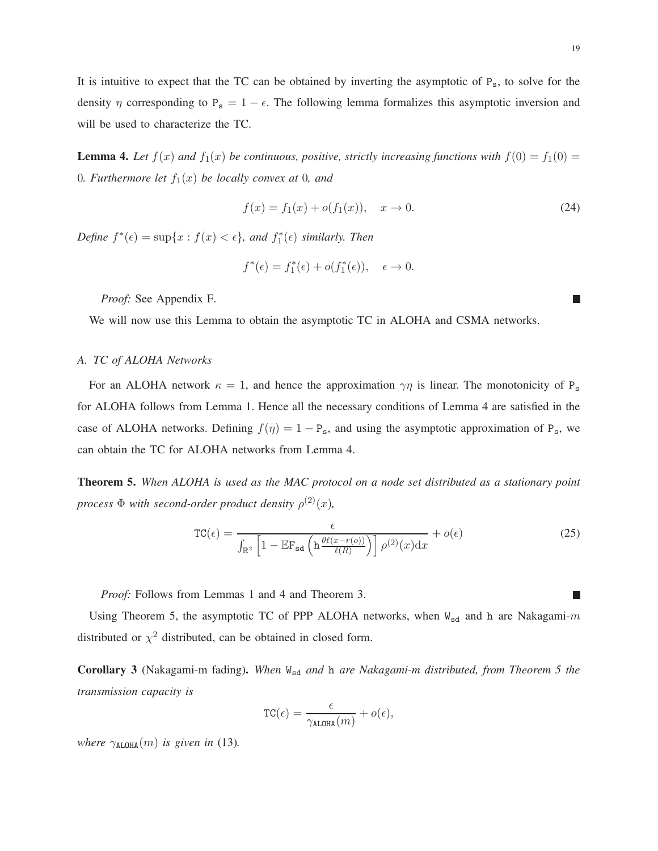It is intuitive to expect that the TC can be obtained by inverting the asymptotic of  $P_s$ , to solve for the density  $\eta$  corresponding to P<sub>s</sub> = 1 –  $\epsilon$ . The following lemma formalizes this asymptotic inversion and will be used to characterize the TC.

**Lemma 4.** Let  $f(x)$  and  $f_1(x)$  be continuous, positive, strictly increasing functions with  $f(0) = f_1(0)$ 0*. Furthermore let*  $f_1(x)$  *be locally convex at* 0*, and* 

$$
f(x) = f_1(x) + o(f_1(x)), \quad x \to 0.
$$
 (24)

Define  $f^*(\epsilon) = \sup\{x : f(x) < \epsilon\}$ *, and*  $f_1^*(\epsilon)$  *similarly. Then* 

$$
f^*(\epsilon) = f_1^*(\epsilon) + o(f_1^*(\epsilon)), \quad \epsilon \to 0.
$$

*Proof:* See Appendix F.

We will now use this Lemma to obtain the asymptotic TC in ALOHA and CSMA networks.

# *A. TC of ALOHA Networks*

For an ALOHA network  $\kappa = 1$ , and hence the approximation  $\gamma \eta$  is linear. The monotonicity of P<sub>s</sub> for ALOHA follows from Lemma 1. Hence all the necessary conditions of Lemma 4 are satisfied in the case of ALOHA networks. Defining  $f(\eta) = 1 - P_s$ , and using the asymptotic approximation of P<sub>s</sub>, we can obtain the TC for ALOHA networks from Lemma 4.

**Theorem 5.** *When ALOHA is used as the MAC protocol on a node set distributed as a stationary point process*  $\Phi$  *with second-order product density*  $\rho^{(2)}(x)$ *,* 

$$
TC(\epsilon) = \frac{\epsilon}{\int_{\mathbb{R}^2} \left[1 - \mathbb{E}F_{sd} \left(h \frac{\theta \ell(x - r(o))}{\ell(R)}\right)\right] \rho^{(2)}(x) dx} + o(\epsilon)
$$
(25)

*Proof:* Follows from Lemmas 1 and 4 and Theorem 3.

Using Theorem 5, the asymptotic TC of PPP ALOHA networks, when  $W_{sd}$  and h are Nakagami-m distributed or  $\chi^2$  distributed, can be obtained in closed form.

**Corollary 3** (Nakagami-m fading)**.** *When* Wsd *and* h *are Nakagami-m distributed, from Theorem 5 the transmission capacity is*

$$
\mathrm{TC}(\epsilon) = \frac{\epsilon}{\gamma_{\mathrm{ALOHA}}(m)} + o(\epsilon),
$$

*where*  $\gamma_{\text{ALOHA}}(m)$  *is given in* (13).

П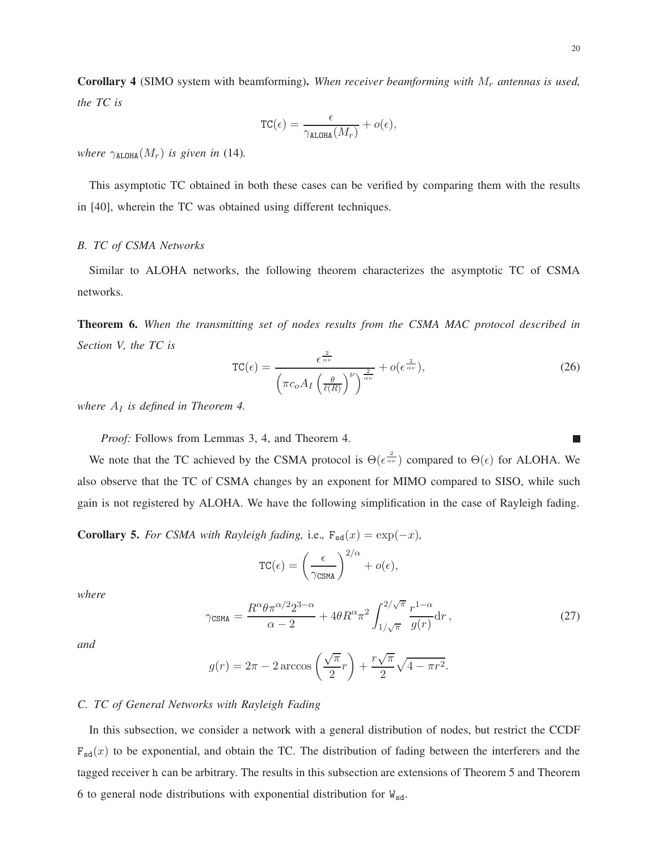Corollary 4 (SIMO system with beamforming). When receiver beamforming with  $M_r$  antennas is used, *the TC is*

$$
\mathrm{TC}(\epsilon) = \frac{\epsilon}{\gamma_{\mathrm{ALOHA}}(M_r)} + o(\epsilon),
$$

*where*  $\gamma_{\text{ALOHA}}(M_r)$  *is given in* (14).

This asymptotic TC obtained in both these cases can be verified by comparing them with the results in [40], wherein the TC was obtained using different techniques.

# *B. TC of CSMA Networks*

Similar to ALOHA networks, the following theorem characterizes the asymptotic TC of CSMA networks.

**Theorem 6.** *When the transmitting set of nodes results from the CSMA MAC protocol described in Section V, the TC is*

$$
TC(\epsilon) = \frac{\epsilon^{\frac{2}{\alpha\nu}}}{\left(\pi c_o A_I \left(\frac{\theta}{\ell(R)}\right)^{\nu}\right)^{\frac{2}{\alpha\nu}}} + o(\epsilon^{\frac{2}{\alpha\nu}}),\tag{26}
$$

*where*  $A_I$  *is defined in Theorem 4.* 

*Proof:* Follows from Lemmas 3, 4, and Theorem 4.

We note that the TC achieved by the CSMA protocol is  $\Theta(\epsilon^{\frac{2}{\alpha \nu}})$  compared to  $\Theta(\epsilon)$  for ALOHA. We also observe that the TC of CSMA changes by an exponent for MIMO compared to SISO, while such gain is not registered by ALOHA. We have the following simplification in the case of Rayleigh fading.

**Corollary 5.** *For CSMA with Rayleigh fading,* i.e.,  $F_{sd}(x) = \exp(-x)$ *,* 

$$
TC(\epsilon) = \left(\frac{\epsilon}{\gamma_{\text{CSMA}}}\right)^{2/\alpha} + o(\epsilon),
$$

*where*

$$
\gamma_{\text{CSMA}} = \frac{R^{\alpha} \theta \pi^{\alpha/2} 2^{3-\alpha}}{\alpha - 2} + 4\theta R^{\alpha} \pi^2 \int_{1/\sqrt{\pi}}^{2/\sqrt{\pi}} \frac{r^{1-\alpha}}{g(r)} dr, \qquad (27)
$$

*and*

$$
g(r) = 2\pi - 2\arccos\left(\frac{\sqrt{\pi}}{2}r\right) + \frac{r\sqrt{\pi}}{2}\sqrt{4 - \pi r^2}.
$$

# *C. TC of General Networks with Rayleigh Fading*

In this subsection, we consider a network with a general distribution of nodes, but restrict the CCDF  $F_{sd}(x)$  to be exponential, and obtain the TC. The distribution of fading between the interferers and the tagged receiver h can be arbitrary. The results in this subsection are extensions of Theorem 5 and Theorem 6 to general node distributions with exponential distribution for  $W_{sd}$ .

T.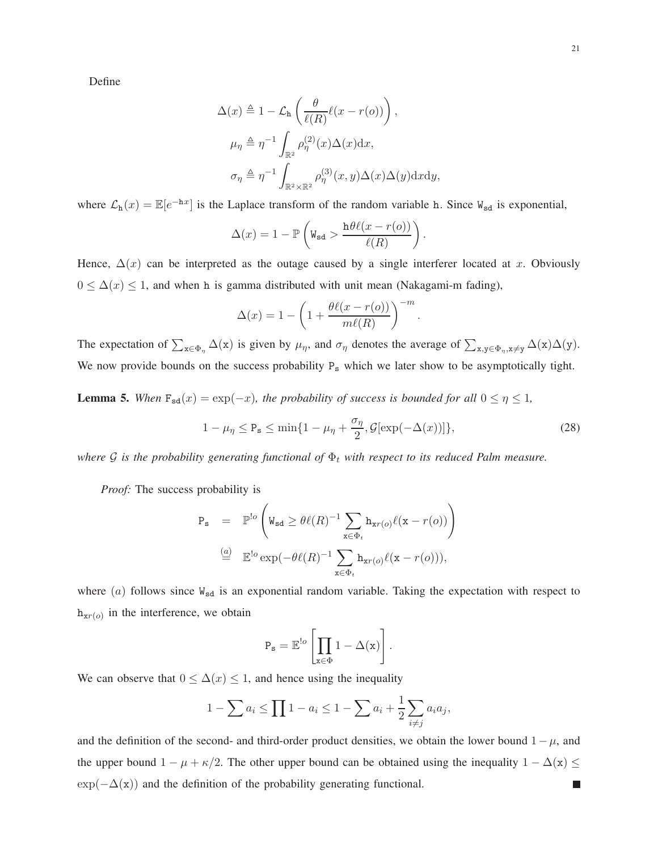Define

$$
\Delta(x) \triangleq 1 - \mathcal{L}_{\mathbf{h}} \left( \frac{\theta}{\ell(R)} \ell(x - r(o)) \right),
$$
  
\n
$$
\mu_{\eta} \triangleq \eta^{-1} \int_{\mathbb{R}^2} \rho_{\eta}^{(2)}(x) \Delta(x) dx,
$$
  
\n
$$
\sigma_{\eta} \triangleq \eta^{-1} \int_{\mathbb{R}^2 \times \mathbb{R}^2} \rho_{\eta}^{(3)}(x, y) \Delta(x) \Delta(y) dx dy,
$$

where  $\mathcal{L}_{h}(x) = \mathbb{E}[e^{-hx}]$  is the Laplace transform of the random variable h. Since  $W_{sd}$  is exponential,

$$
\Delta(x) = 1 - \mathbb{P}\left(\mathbf{W}_{\mathbf{sd}} > \frac{\mathbf{h}\theta\ell(x - r(o))}{\ell(R)}\right).
$$

Hence,  $\Delta(x)$  can be interpreted as the outage caused by a single interferer located at x. Obviously  $0 \leq \Delta(x) \leq 1$ , and when h is gamma distributed with unit mean (Nakagami-m fading),

$$
\Delta(x) = 1 - \left(1 + \frac{\theta \ell(x - r(o))}{m\ell(R)}\right)^{-m}
$$

The expectation of  $\sum_{x \in \Phi_{\eta}} \Delta(x)$  is given by  $\mu_{\eta}$ , and  $\sigma_{\eta}$  denotes the average of  $\sum_{x,y \in \Phi_{\eta}, x \neq y} \Delta(x)\Delta(y)$ . We now provide bounds on the success probability P<sub>s</sub> which we later show to be asymptotically tight.

**Lemma 5.** When  $F_{sd}(x) = \exp(-x)$ *, the probability of success is bounded for all*  $0 \le \eta \le 1$ *,* 

$$
1 - \mu_{\eta} \le P_{\mathbf{s}} \le \min\{1 - \mu_{\eta} + \frac{\sigma_{\eta}}{2}, \mathcal{G}[\exp(-\Delta(x))]\},\tag{28}
$$

.

*where*  $G$  *is the probability generating functional of*  $\Phi_t$  *with respect to its reduced Palm measure.* 

*Proof:* The success probability is

$$
P_{s} = \mathbb{P}^{!o} \left( W_{sd} \ge \theta \ell(R)^{-1} \sum_{x \in \Phi_{t}} h_{xr(o)} \ell(x - r(o)) \right)
$$
  
\n
$$
\stackrel{(a)}{=} \mathbb{E}^{!o} \exp(-\theta \ell(R)^{-1} \sum_{x \in \Phi_{t}} h_{xr(o)} \ell(x - r(o))),
$$

where  $(a)$  follows since  $W_{sd}$  is an exponential random variable. Taking the expectation with respect to  $h_{xr}(o)$  in the interference, we obtain

$$
P_{\mathbf{s}} = \mathbb{E}^{!o}\left[\prod_{\mathbf{x}\in \Phi} 1 - \Delta(\mathbf{x})\right].
$$

We can observe that  $0 \leq \Delta(x) \leq 1$ , and hence using the inequality

$$
1 - \sum a_i \le \prod 1 - a_i \le 1 - \sum a_i + \frac{1}{2} \sum_{i \ne j} a_i a_j,
$$

and the definition of the second- and third-order product densities, we obtain the lower bound  $1-\mu$ , and the upper bound  $1 - \mu + \kappa/2$ . The other upper bound can be obtained using the inequality  $1 - \Delta(x) \le$  $\exp(-\Delta(x))$  and the definition of the probability generating functional.  $\mathcal{L}_{\mathcal{A}}$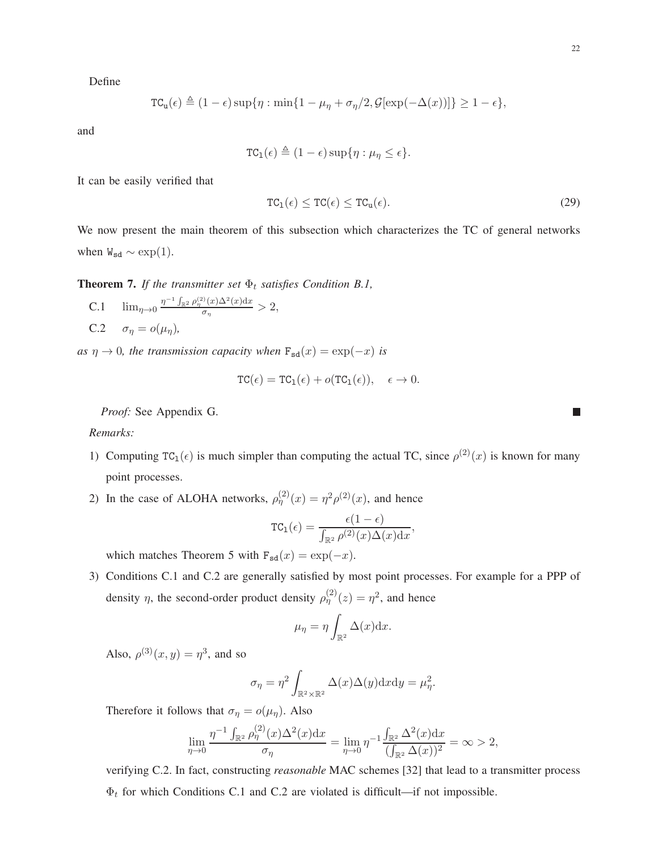Define

$$
TC_{u}(\epsilon) \triangleq (1-\epsilon) \sup \{ \eta : \min \{ 1 - \mu_{\eta} + \sigma_{\eta} / 2, \mathcal{G}[\exp(-\Delta(x))] \} \ge 1 - \epsilon \},
$$

and

$$
TC_1(\epsilon) \triangleq (1-\epsilon) \sup \{\eta : \mu_\eta \leq \epsilon\}.
$$

It can be easily verified that

$$
TC_1(\epsilon) \le TC(\epsilon) \le TC_u(\epsilon). \tag{29}
$$

We now present the main theorem of this subsection which characterizes the TC of general networks when  $W_{sd} \sim \exp(1)$ .

**Theorem 7.** *If the transmitter set*  $\Phi_t$  *satisfies Condition B.1,* 

C.1 
$$
\lim_{\eta \to 0} \frac{\eta^{-1} \int_{\mathbb{R}^2} \rho_{\eta}^{(2)}(x) \Delta^2(x) dx}{\sigma_{\eta}} > 2,
$$
  
C.2 
$$
\sigma_{\eta} = o(\mu_{\eta}),
$$

*as*  $\eta \to 0$ *, the transmission capacity when*  $F_{sd}(x) = \exp(-x)$  *is* 

$$
TC(\epsilon) = TC_1(\epsilon) + o(TC_1(\epsilon)), \quad \epsilon \to 0.
$$

*Proof:* See Appendix G.

*Remarks:*

- 1) Computing TC<sub>1</sub>( $\epsilon$ ) is much simpler than computing the actual TC, since  $\rho^{(2)}(x)$  is known for many point processes.
- 2) In the case of ALOHA networks,  $\rho_{\eta}^{(2)}(x) = \eta^2 \rho^{(2)}(x)$ , and hence

$$
TC_1(\epsilon) = \frac{\epsilon(1-\epsilon)}{\int_{\mathbb{R}^2} \rho^{(2)}(x) \Delta(x) dx},
$$

which matches Theorem 5 with  $F_{sd}(x) = \exp(-x)$ .

3) Conditions C.1 and C.2 are generally satisfied by most point processes. For example for a PPP of density  $\eta$ , the second-order product density  $\rho_{\eta}^{(2)}(z) = \eta^2$ , and hence

$$
\mu_{\eta} = \eta \int_{\mathbb{R}^2} \Delta(x) dx.
$$

Also,  $\rho^{(3)}(x,y) = \eta^3$ , and so

$$
\sigma_{\eta} = \eta^2 \int_{\mathbb{R}^2 \times \mathbb{R}^2} \Delta(x) \Delta(y) \mathrm{d}x \mathrm{d}y = \mu_{\eta}^2.
$$

Therefore it follows that  $\sigma_{\eta} = o(\mu_{\eta})$ . Also

$$
\lim_{\eta \to 0} \frac{\eta^{-1} \int_{\mathbb{R}^2} \rho_{\eta}^{(2)}(x) \Delta^2(x) dx}{\sigma_{\eta}} = \lim_{\eta \to 0} \eta^{-1} \frac{\int_{\mathbb{R}^2} \Delta^2(x) dx}{(\int_{\mathbb{R}^2} \Delta(x))^2} = \infty > 2,
$$

verifying C.2. In fact, constructing *reasonable* MAC schemes [32] that lead to a transmitter process  $\Phi_t$  for which Conditions C.1 and C.2 are violated is difficult—if not impossible.

г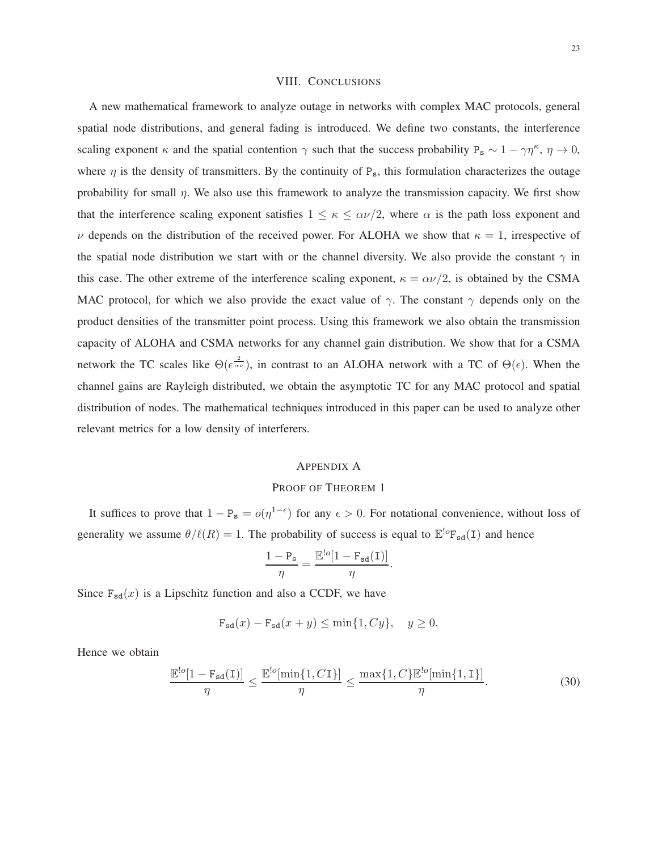#### VIII. CONCLUSIONS

A new mathematical framework to analyze outage in networks with complex MAC protocols, general spatial node distributions, and general fading is introduced. We define two constants, the interference scaling exponent  $\kappa$  and the spatial contention  $\gamma$  such that the success probability P<sub>s</sub> ~ 1 –  $\gamma\eta^{\kappa}$ ,  $\eta \to 0$ , where  $\eta$  is the density of transmitters. By the continuity of P<sub>s</sub>, this formulation characterizes the outage probability for small  $\eta$ . We also use this framework to analyze the transmission capacity. We first show that the interference scaling exponent satisfies  $1 \leq \kappa \leq \alpha \nu/2$ , where  $\alpha$  is the path loss exponent and ν depends on the distribution of the received power. For ALOHA we show that  $κ = 1$ , irrespective of the spatial node distribution we start with or the channel diversity. We also provide the constant  $\gamma$  in this case. The other extreme of the interference scaling exponent,  $\kappa = \alpha \nu/2$ , is obtained by the CSMA MAC protocol, for which we also provide the exact value of  $\gamma$ . The constant  $\gamma$  depends only on the product densities of the transmitter point process. Using this framework we also obtain the transmission capacity of ALOHA and CSMA networks for any channel gain distribution. We show that for a CSMA network the TC scales like  $\Theta(\epsilon^{\frac{2}{\alpha \nu}})$ , in contrast to an ALOHA network with a TC of  $\Theta(\epsilon)$ . When the channel gains are Rayleigh distributed, we obtain the asymptotic TC for any MAC protocol and spatial distribution of nodes. The mathematical techniques introduced in this paper can be used to analyze other relevant metrics for a low density of interferers.

# APPENDIX A

#### PROOF OF THEOREM 1

It suffices to prove that  $1 - P_s = o(\eta^{1-\epsilon})$  for any  $\epsilon > 0$ . For notational convenience, without loss of generality we assume  $\theta/\ell(R) = 1$ . The probability of success is equal to  $\mathbb{E}^{\log}F_{sd}(I)$  and hence

$$
\frac{1-P_s}{\eta} = \frac{\mathbb{E}^{!o}[1-F_{sd}(I)]}{\eta}.
$$

Since  $F_{sd}(x)$  is a Lipschitz function and also a CCDF, we have

$$
\mathbf{F}_{\mathbf{sd}}(x) - \mathbf{F}_{\mathbf{sd}}(x+y) \le \min\{1, Cy\}, \quad y \ge 0.
$$

Hence we obtain

$$
\frac{\mathbb{E}^{!o}[1-\mathbf{F}_{sd}(I)]}{\eta} \le \frac{\mathbb{E}^{!o}[\min\{1, C I\}]}{\eta} \le \frac{\max\{1, C\} \mathbb{E}^{!o}[\min\{1, I\}]}{\eta}.\tag{30}
$$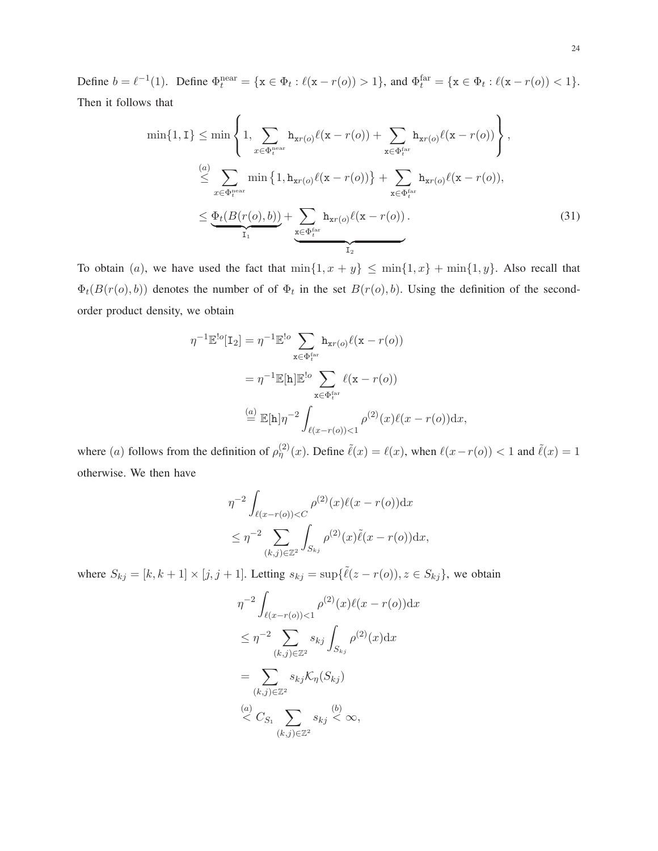Define  $b = \ell^{-1}(1)$ . Define  $\Phi_t^{\text{near}} = \{x \in \Phi_t : \ell(x - r(o)) > 1\}$ , and  $\Phi_t^{\text{far}} = \{x \in \Phi_t : \ell(x - r(o)) < 1\}$ . Then it follows that

$$
\min\{1,1\} \leq \min\left\{1,\sum_{x \in \Phi_t^{\text{near}}} h_{xr(o)}\ell(x-r(o)) + \sum_{x \in \Phi_t^{\text{far}}} h_{xr(o)}\ell(x-r(o))\right\},\
$$

$$
\leq \sum_{x \in \Phi_t^{\text{near}}} \min\left\{1,h_{xr(o)}\ell(x-r(o))\right\} + \sum_{x \in \Phi_t^{\text{far}}} h_{xr(o)}\ell(x-r(o)),
$$

$$
\leq \underbrace{\Phi_t(B(r(o),b))}_{I_1} + \sum_{x \in \Phi_t^{\text{far}}} h_{xr(o)}\ell(x-r(o)).
$$
\n(31)

To obtain (a), we have used the fact that  $\min\{1, x + y\} \leq \min\{1, x\} + \min\{1, y\}$ . Also recall that  $\Phi_t(B(r(o), b))$  denotes the number of of  $\Phi_t$  in the set  $B(r(o), b)$ . Using the definition of the secondorder product density, we obtain

$$
\eta^{-1} \mathbb{E}^{\text{!o}}[\mathbf{I}_2] = \eta^{-1} \mathbb{E}^{\text{!o}} \sum_{\mathbf{x} \in \Phi_t^{\text{far}}} \mathbf{h}_{\mathbf{x}r(o)} \ell(\mathbf{x} - r(o))
$$

$$
= \eta^{-1} \mathbb{E}[\mathbf{h}] \mathbb{E}^{\text{!o}} \sum_{\mathbf{x} \in \Phi_t^{\text{far}}} \ell(\mathbf{x} - r(o))
$$

$$
\stackrel{(a)}{=} \mathbb{E}[\mathbf{h}] \eta^{-2} \int_{\ell(x - r(o)) < 1} \rho^{(2)}(x) \ell(x - r(o)) \, dx,
$$

where (a) follows from the definition of  $\rho_{\eta}^{(2)}(x)$ . Define  $\tilde{\ell}(x) = \ell(x)$ , when  $\ell(x-r(o)) < 1$  and  $\tilde{\ell}(x) = 1$ otherwise. We then have

$$
\eta^{-2} \int_{\ell(x-r(o)) < C} \rho^{(2)}(x)\ell(x-r(o)) dx
$$
\n
$$
\leq \eta^{-2} \sum_{(k,j) \in \mathbb{Z}^2} \int_{S_{kj}} \rho^{(2)}(x)\tilde{\ell}(x-r(o)) dx,
$$

where  $S_{kj} = [k, k+1] \times [j, j+1]$ . Letting  $s_{kj} = \sup{\{\tilde{\ell}(z - r(o))\}}$ ,  $z \in S_{kj}\}$ , we obtain

$$
\eta^{-2} \int_{\ell(x-r(o)) < 1} \rho^{(2)}(x)\ell(x-r(o)) dx
$$
\n
$$
\leq \eta^{-2} \sum_{(k,j) \in \mathbb{Z}^2} s_{kj} \int_{S_{kj}} \rho^{(2)}(x) dx
$$
\n
$$
= \sum_{(k,j) \in \mathbb{Z}^2} s_{kj} \mathcal{K}_{\eta}(S_{kj})
$$
\n
$$
\stackrel{(a)}{\leq} C_{S_1} \sum_{(k,j) \in \mathbb{Z}^2} s_{kj} \stackrel{(b)}{<} \infty,
$$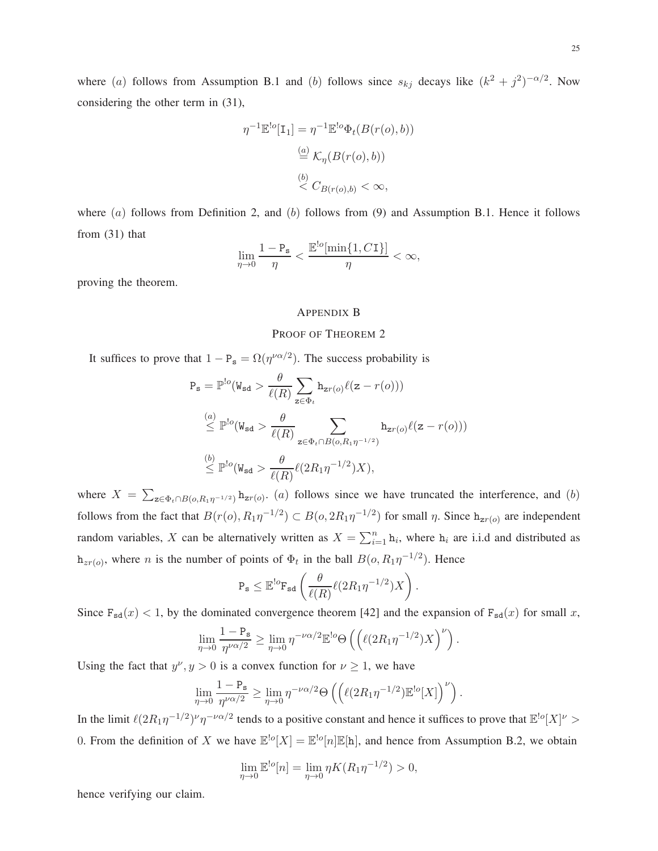where (a) follows from Assumption B.1 and (b) follows since  $s_{kj}$  decays like  $(k^2 + j^2)^{-\alpha/2}$ . Now considering the other term in (31),

$$
\eta^{-1} \mathbb{E}^{\cdot} \big[ \mathbf{I}_1 \big] = \eta^{-1} \mathbb{E}^{\cdot} \Phi_t(B(r(o), b))
$$

$$
\stackrel{(a)}{=} \mathcal{K}_\eta(B(r(o), b))
$$

$$
\stackrel{(b)}{<} C_{B(r(o), b)} < \infty,
$$

where  $(a)$  follows from Definition 2, and  $(b)$  follows from  $(9)$  and Assumption B.1. Hence it follows from (31) that

$$
\lim_{\eta\to 0}\frac{1-{\mathtt P}_{\mathtt s}}{\eta}<\frac{{\mathbb E}^{!o}[\min\{1,C{\mathtt I}\}]}{\eta}<\infty,
$$

proving the theorem.

# APPENDIX B

#### PROOF OF THEOREM 2

It suffices to prove that  $1 - P_s = \Omega(\eta^{\nu \alpha/2})$ . The success probability is

$$
P_s = \mathbb{P}^{lo}(W_{sd} > \frac{\theta}{\ell(R)} \sum_{z \in \Phi_t} h_{zr(o)} \ell(z - r(o)))
$$
  
\n
$$
\stackrel{(a)}{\leq} \mathbb{P}^{lo}(W_{sd} > \frac{\theta}{\ell(R)} \sum_{z \in \Phi_t \cap B(o, R_1 \eta^{-1/2})} h_{zr(o)} \ell(z - r(o)))
$$
  
\n
$$
\stackrel{(b)}{\leq} \mathbb{P}^{lo}(W_{sd} > \frac{\theta}{\ell(R)} \ell(2R_1 \eta^{-1/2})X),
$$

where  $X = \sum_{z \in \Phi_t \cap B(o, R_1 \eta^{-1/2})} h_{zr(o)}$ . (a) follows since we have truncated the interference, and (b) follows from the fact that  $B(r(o), R_1\eta^{-1/2}) \subset B(o, 2R_1\eta^{-1/2})$  for small  $\eta$ . Since  $h_{zr(o)}$  are independent random variables, X can be alternatively written as  $X = \sum_{i=1}^{n} h_i$ , where  $h_i$  are i.i.d and distributed as  $h_{zr(o)}$ , where *n* is the number of points of  $\Phi_t$  in the ball  $B(o, R_1\eta^{-1/2})$ . Hence

$$
\mathrm{P}_{\mathrm{s}} \leq \mathbb{E}^{\mathrm{lo}} \mathrm{F}_{\mathrm{sd}} \left( \frac{\theta}{\ell(R)} \ell(2R_1 \eta^{-1/2}) X \right).
$$

Since  $F_{sd}(x) < 1$ , by the dominated convergence theorem [42] and the expansion of  $F_{sd}(x)$  for small x,

$$
\lim_{\eta \to 0} \frac{1 - P_s}{\eta^{\nu \alpha/2}} \ge \lim_{\eta \to 0} \eta^{-\nu \alpha/2} \mathbb{E}^{\log} \Theta \left( \left( \ell(2R_1 \eta^{-1/2}) X \right)^{\nu} \right).
$$

Using the fact that  $y^{\nu}$ ,  $y > 0$  is a convex function for  $\nu \ge 1$ , we have

$$
\lim_{\eta \to 0} \frac{1 - P_s}{\eta^{\nu \alpha/2}} \ge \lim_{\eta \to 0} \eta^{-\nu \alpha/2} \Theta \left( \left( \ell (2R_1 \eta^{-1/2}) \mathbb{E}^{!o}[X] \right)^{\nu} \right).
$$

In the limit  $\ell(2R_1\eta^{-1/2})^{\nu}\eta^{-\nu\alpha/2}$  tends to a positive constant and hence it suffices to prove that  $\mathbb{E}^{!o}[X]^{\nu}$ 0. From the definition of X we have  $\mathbb{E}^{\lfloor o}[X] = \mathbb{E}^{\lfloor o}[n]\mathbb{E}[h]$ , and hence from Assumption B.2, we obtain

$$
\lim_{\eta \to 0} \mathbb{E}^{!o}[n] = \lim_{\eta \to 0} \eta K(R_1 \eta^{-1/2}) > 0,
$$

hence verifying our claim.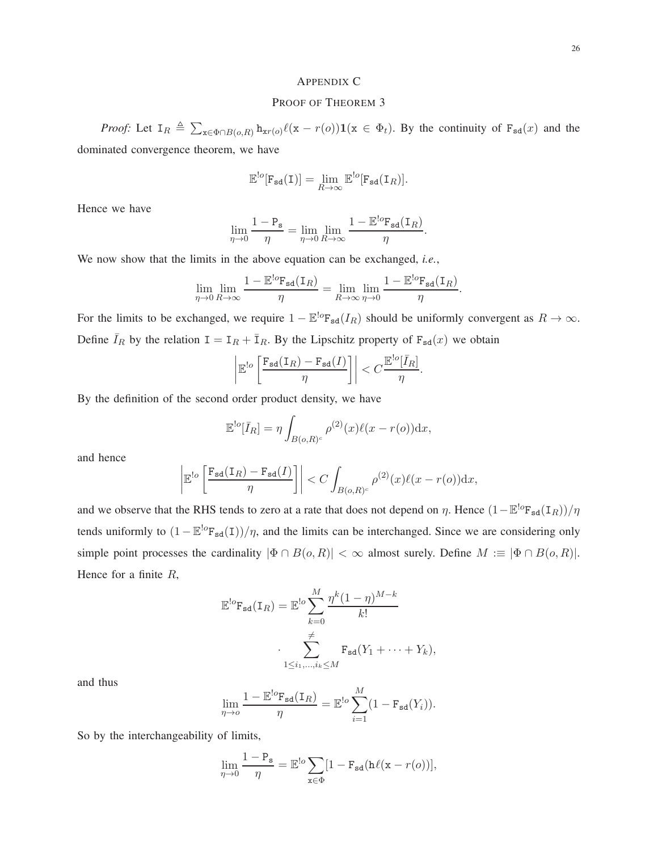# PROOF OF THEOREM 3

*Proof:* Let  $I_R \triangleq \sum_{x \in \Phi \cap B(o, R)} h_{xr(o)} \ell(x - r(o)) 1(x \in \Phi_t)$ . By the continuity of  $F_{sd}(x)$  and the dominated convergence theorem, we have

> $\mathbb{E}^{\cdot}[\mathsf{F}_{\mathsf{sd}}(\mathsf{I})] = \lim_{R \to \infty}$  $\mathbb{E}^{!o}[\mathtt{F}_{\mathtt{sd}}(\mathtt{I}_R)].$

Hence we have

$$
\lim_{\eta \to 0} \frac{1 - P_{\mathbf{s}}}{\eta} = \lim_{\eta \to 0} \lim_{R \to \infty} \frac{1 - \mathbb{E}^{\text{!}o} F_{\mathbf{s}d}(\mathbf{I}_R)}{\eta}.
$$

We now show that the limits in the above equation can be exchanged, *i.e.*,

$$
\lim_{\eta \to 0} \lim_{R \to \infty} \frac{1 - \mathbb{E}^{\text{log}} \mathbf{F}_{\text{sd}}(\mathbf{I}_R)}{\eta} = \lim_{R \to \infty} \lim_{\eta \to 0} \frac{1 - \mathbb{E}^{\text{log}} \mathbf{F}_{\text{sd}}(\mathbf{I}_R)}{\eta}.
$$

For the limits to be exchanged, we require  $1 - \mathbb{E}^{\log} F_{sd}(I_R)$  should be uniformly convergent as  $R \to \infty$ . Define  $\bar{I}_R$  by the relation  $I = I_R + \bar{I}_R$ . By the Lipschitz property of  $F_{sd}(x)$  we obtain

$$
\left|\mathbb{E}^{!o}\left[\frac{\mathbf{F}_{\mathbf{sd}}(\mathbf{I}_R)-\mathbf{F}_{\mathbf{sd}}(I)}{\eta}\right]\right| < C \frac{\mathbb{E}^{!o}[\bar{I}_R]}{\eta}.
$$

By the definition of the second order product density, we have

$$
\mathbb{E}^{!o}[\bar{I}_R] = \eta \int_{B(o,R)^c} \rho^{(2)}(x)\ell(x-r(o))\mathrm{d}x,
$$

and hence

$$
\left| \mathbb{E}^{lo} \left[ \frac{\mathbf{F}_{sd}(\mathbf{I}_R) - \mathbf{F}_{sd}(I)}{\eta} \right] \right| < C \int_{B(o,R)^c} \rho^{(2)}(x) \ell(x - r(o)) \mathrm{d}x,
$$

and we observe that the RHS tends to zero at a rate that does not depend on  $\eta$ . Hence  $(1 - \mathbb{E}^{!o}F_{sd}(I_R))/\eta$ tends uniformly to  $(1 - \mathbb{E}^{!o}F_{sd}(I))/\eta$ , and the limits can be interchanged. Since we are considering only simple point processes the cardinality  $|\Phi \cap B(o, R)| < \infty$  almost surely. Define  $M := |\Phi \cap B(o, R)|$ . Hence for a finite R,

$$
\mathbb{E}^{!o} \mathbf{F}_{sd}(\mathbf{I}_R) = \mathbb{E}^{!o} \sum_{k=0}^{M} \frac{\eta^k (1-\eta)^{M-k}}{k!}
$$

$$
\cdot \sum_{1 \le i_1, \dots, i_k \le M}^{\neq} \mathbf{F}_{sd}(Y_1 + \dots + Y_k),
$$

and thus

$$
\lim_{\eta \to o} \frac{1 - \mathbb{E}^{\text{lo}} \mathbf{F}_{\text{sd}}(\mathbf{I}_R)}{\eta} = \mathbb{E}^{\text{lo}} \sum_{i=1}^M (1 - \mathbf{F}_{\text{sd}}(Y_i)).
$$

So by the interchangeability of limits,

$$
\lim_{\eta \to 0} \frac{1 - P_s}{\eta} = \mathbb{E}^{!o} \sum_{x \in \Phi} [1 - F_{sd}(\mathbf{h}\ell(x - r(o))],
$$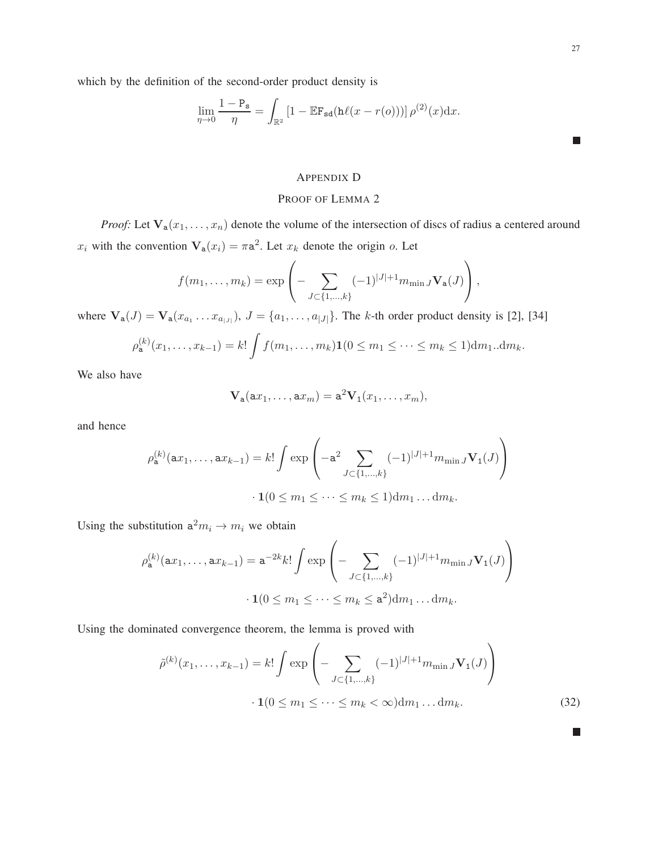$\mathcal{L}_{\mathcal{A}}$ 

which by the definition of the second-order product density is

$$
\lim_{\eta \to 0} \frac{1 - P_{\mathbf{s}}}{\eta} = \int_{\mathbb{R}^2} \left[ 1 - \mathbb{E} \mathbf{F}_{\mathbf{s} \mathbf{d}} (\mathbf{h} \ell (x - r(o))) \right] \rho^{(2)}(x) dx.
$$

# APPENDIX D

# PROOF OF LEMMA 2

*Proof:* Let  $V_a(x_1, \ldots, x_n)$  denote the volume of the intersection of discs of radius a centered around  $x_i$  with the convention  $\mathbf{V}_a(x_i) = \pi a^2$ . Let  $x_k$  denote the origin o. Let

$$
f(m_1,..., m_k) = \exp \left(-\sum_{J \subset \{1,...,k\}} (-1)^{|J|+1} m_{\min J} \mathbf{V}_a(J)\right),
$$

where  $\mathbf{V}_a(J) = \mathbf{V}_a(x_{a_1} \dots x_{a_{|J|}}), J = \{a_1, \dots, a_{|J|}\}.$  The k-th order product density is [2], [34]

$$
\rho_{\mathbf{a}}^{(k)}(x_1,\ldots,x_{k-1}) = k! \int f(m_1,\ldots,m_k) \mathbf{1}(0 \le m_1 \le \cdots \le m_k \le 1) dm_1...dm_k.
$$

We also have

$$
\mathbf{V}_a(ax_1,\ldots,ax_m)=a^2\mathbf{V}_1(x_1,\ldots,x_m),
$$

and hence

$$
\rho_{\mathbf{a}}^{(k)}(\mathbf{a}x_1, \dots, \mathbf{a}x_{k-1}) = k! \int \exp\left(-\mathbf{a}^2 \sum_{J \subset \{1, \dots, k\}} (-1)^{|J|+1} m_{\min J} \mathbf{V}_1(J)\right)
$$

$$
\cdot \mathbf{1}(0 \le m_1 \le \dots \le m_k \le 1) \mathrm{d}m_1 \dots \mathrm{d}m_k.
$$

Using the substitution  $a^2 m_i \rightarrow m_i$  we obtain

$$
\rho_{\mathbf{a}}^{(k)}(\mathbf{a}x_1, \dots, \mathbf{a}x_{k-1}) = \mathbf{a}^{-2k} k! \int \exp\left(-\sum_{J \subset \{1, \dots, k\}} (-1)^{|J|+1} m_{\min J} \mathbf{V}_1(J)\right)
$$

$$
\cdot \mathbf{1}(0 \le m_1 \le \dots \le m_k \le \mathbf{a}^2) \mathrm{d} m_1 \dots \mathrm{d} m_k.
$$

Using the dominated convergence theorem, the lemma is proved with

$$
\tilde{\rho}^{(k)}(x_1, \dots, x_{k-1}) = k! \int \exp\left(-\sum_{J \subset \{1, \dots, k\}} (-1)^{|J|+1} m_{\min J} \mathbf{V}_1(J)\right) \cdot \mathbf{1}(0 \le m_1 \le \dots \le m_k < \infty) \mathrm{d} m_1 \dots \mathrm{d} m_k. \tag{32}
$$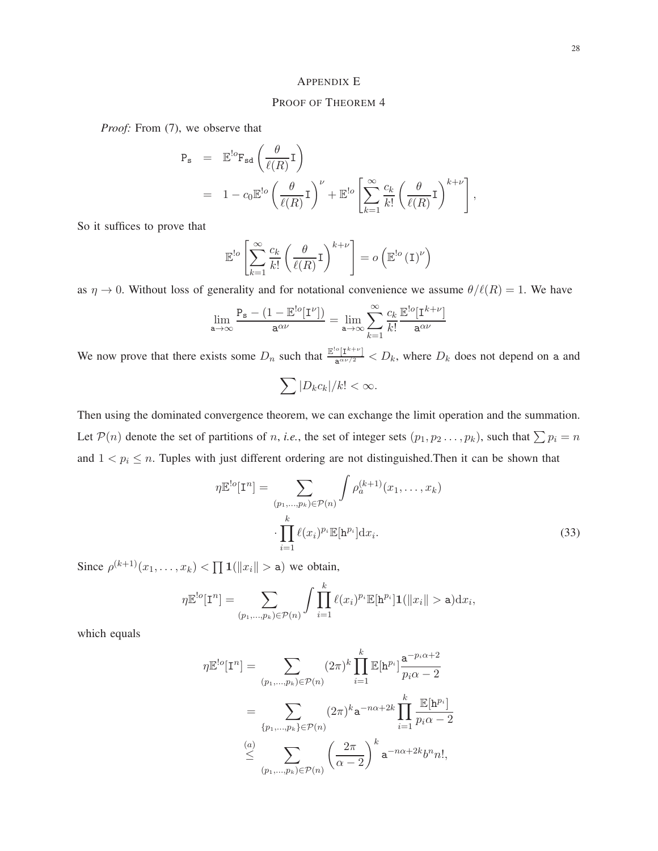# APPENDIX E

# PROOF OF THEOREM 4

*Proof:* From (7), we observe that

$$
P_{s} = \mathbb{E}^{!o} F_{sd} \left( \frac{\theta}{\ell(R)} \mathbf{I} \right)
$$
  
=  $1 - c_{0} \mathbb{E}^{!o} \left( \frac{\theta}{\ell(R)} \mathbf{I} \right)^{\nu} + \mathbb{E}^{!o} \left[ \sum_{k=1}^{\infty} \frac{c_{k}}{k!} \left( \frac{\theta}{\ell(R)} \mathbf{I} \right)^{k+\nu} \right],$ 

So it suffices to prove that

$$
\mathbb{E}^{!o} \left[ \sum_{k=1}^{\infty} \frac{c_k}{k!} \left( \frac{\theta}{\ell(R)} \mathbf{I} \right)^{k+\nu} \right] = o \left( \mathbb{E}^{!o} \left( \mathbf{I} \right)^{\nu} \right)
$$

as  $\eta \to 0$ . Without loss of generality and for notational convenience we assume  $\theta/\ell(R) = 1$ . We have

$$
\lim_{\mathbf{a}\to\infty}\frac{\mathbf{P}_{\mathbf{s}} - (1 - \mathbb{E}^{!\mathit{o}}[\mathbf{I}^{\nu}])}{\mathbf{a}^{\alpha\nu}} = \lim_{\mathbf{a}\to\infty}\sum_{k=1}^{\infty}\frac{c_k}{k!}\frac{\mathbb{E}^{!\mathit{o}}[\mathbf{I}^{k+\nu}]}{\mathbf{a}^{\alpha\nu}}
$$

We now prove that there exists some  $D_n$  such that  $\frac{\mathbb{E}^{\text{lo}}[I^{k+\nu}]}{\mathbf{a}^{\alpha\nu/2}} < D_k$ , where  $D_k$  does not depend on a and

$$
\sum |D_k c_k|/k! < \infty.
$$

Then using the dominated convergence theorem, we can exchange the limit operation and the summation. Let  $P(n)$  denote the set of partitions of n, *i.e.*, the set of integer sets  $(p_1, p_2 \ldots, p_k)$ , such that  $\sum p_i = n$ and  $1 < p_i \le n$ . Tuples with just different ordering are not distinguished. Then it can be shown that

$$
\eta \mathbb{E}^{\text{!o}}[\mathbf{I}^n] = \sum_{\substack{(p_1,\ldots,p_k)\in \mathcal{P}(n)}} \int \rho_a^{(k+1)}(x_1,\ldots,x_k)
$$

$$
\cdot \prod_{i=1}^k \ell(x_i)^{p_i} \mathbb{E}[\mathbf{h}^{p_i}] \mathrm{d}x_i.
$$
 (33)

Since  $\rho^{(k+1)}(x_1,\ldots,x_k) < \prod 1(||x_i|| > a)$  we obtain,

$$
\eta \mathbb{E}^{!o}[\mathbf{I}^n] = \sum_{(p_1,\ldots,p_k)\in \mathcal{P}(n)} \int \prod_{i=1}^k \ell(x_i)^{p_i} \mathbb{E}[\mathbf{h}^{p_i}]\mathbf{1}(\|x_i\| > \mathbf{a}) \mathrm{d}x_i,
$$

which equals

$$
\eta \mathbb{E}^{lo}[\mathbf{I}^n] = \sum_{(p_1, \dots, p_k) \in \mathcal{P}(n)} (2\pi)^k \prod_{i=1}^k \mathbb{E}[\mathbf{h}^{p_i}] \frac{\mathbf{a}^{-p_i \alpha + 2}}{p_i \alpha - 2}
$$

$$
= \sum_{\{p_1, \dots, p_k\} \in \mathcal{P}(n)} (2\pi)^k \mathbf{a}^{-n\alpha + 2k} \prod_{i=1}^k \frac{\mathbb{E}[\mathbf{h}^{p_i}]}{p_i \alpha - 2}
$$

$$
\leq \sum_{(p_1, \dots, p_k) \in \mathcal{P}(n)} \left(\frac{2\pi}{\alpha - 2}\right)^k \mathbf{a}^{-n\alpha + 2k} b^n n!,
$$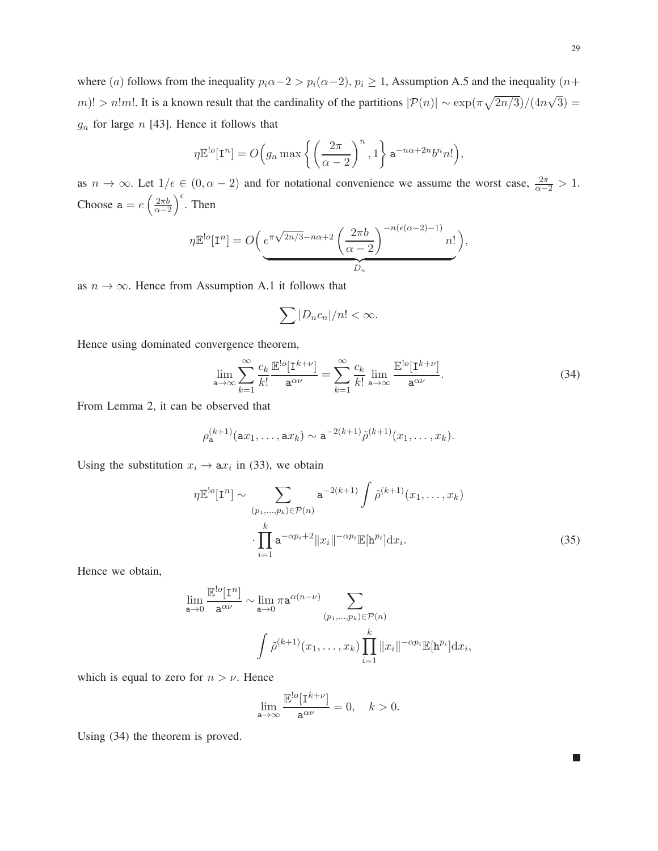where (a) follows from the inequality  $p_i\alpha-2 > p_i(\alpha-2)$ ,  $p_i \ge 1$ , Assumption A.5 and the inequality (n+ m)! > n!m!. It is a known result that the cardinality of the partitions  $|\mathcal{P}(n)| \sim \exp(\pi \sqrt{2n/3})/(4n\sqrt{3}) =$  $g_n$  for large n [43]. Hence it follows that

$$
\eta \mathbb{E}^{!o}[\mathbf{I}^n] = O\Big(g_n \max \left\{ \left(\frac{2\pi}{\alpha - 2}\right)^n, 1 \right\} \mathbf{a}^{-n\alpha + 2n} b^n n! \Big),
$$

as  $n \to \infty$ . Let  $1/\epsilon \in (0, \alpha - 2)$  and for notational convenience we assume the worst case,  $\frac{2\pi}{\alpha - 2} > 1$ . Choose  $a = e \left( \frac{2\pi b}{\alpha - 2} \right)$  $\alpha-2$  $\int_{0}^{\epsilon}$ . Then

$$
\eta \mathbb{E}^{\text{!`o}}[\mathbf{I}^n] = O\bigg(\underbrace{e^{\pi\sqrt{2n/3} - n\alpha + 2} \left(\frac{2\pi b}{\alpha - 2}\right)^{-n(\epsilon(\alpha - 2) - 1)} n!}_{D_n}\bigg),
$$

as  $n \to \infty$ . Hence from Assumption A.1 it follows that

$$
\sum |D_n c_n|/n! < \infty.
$$

Hence using dominated convergence theorem,

$$
\lim_{\mathbf{a}\to\infty} \sum_{k=1}^{\infty} \frac{c_k}{k!} \frac{\mathbb{E}^{!\circ}[\mathbf{I}^{k+\nu}]}{\mathbf{a}^{\alpha\nu}} = \sum_{k=1}^{\infty} \frac{c_k}{k!} \lim_{\mathbf{a}\to\infty} \frac{\mathbb{E}^{!\circ}[\mathbf{I}^{k+\nu}]}{\mathbf{a}^{\alpha\nu}}.
$$
(34)

From Lemma 2, it can be observed that

$$
\rho_{\mathbf{a}}^{(k+1)}(\mathbf{a}x_1,\ldots,\mathbf{a}x_k)\sim \mathbf{a}^{-2(k+1)}\tilde{\rho}^{(k+1)}(x_1,\ldots,x_k).
$$

Using the substitution  $x_i \rightarrow ax_i$  in (33), we obtain

$$
\eta \mathbb{E}^{\text{!o}}[\mathbf{I}^n] \sim \sum_{(p_1,\ldots,p_k)\in\mathcal{P}(n)} \mathbf{a}^{-2(k+1)} \int \tilde{\rho}^{(k+1)}(x_1,\ldots,x_k)
$$

$$
\cdot \prod_{i=1}^k \mathbf{a}^{-\alpha p_i + 2} \|x_i\|^{-\alpha p_i} \mathbb{E}[\mathbf{h}^{p_i}] dx_i.
$$
 (35)

Hence we obtain,

$$
\lim_{\mathbf{a}\to 0} \frac{\mathbb{E}^{!o}[\mathbf{I}^n]}{\mathbf{a}^{\alpha\nu}} \sim \lim_{\mathbf{a}\to 0} \pi \mathbf{a}^{\alpha(n-\nu)} \sum_{(p_1,\dots,p_k)\in \mathcal{P}(n)} \left( \tilde{p}^{(k+1)}(x_1,\dots,x_k) \prod_{i=1}^k ||x_i||^{-\alpha p_i} \mathbb{E}[\mathbf{h}^{p_i}] \mathrm{d}x_i, \right)
$$

which is equal to zero for  $n > \nu$ . Hence

$$
\lim_{\mathbf{a}\to\infty}\frac{\mathbb{E}^{!\mathbf{o}}[\mathrm{I}^{k+\nu}]}{\mathbf{a}^{\alpha\nu}}=0,\quad k>0.
$$

Using (34) the theorem is proved.

П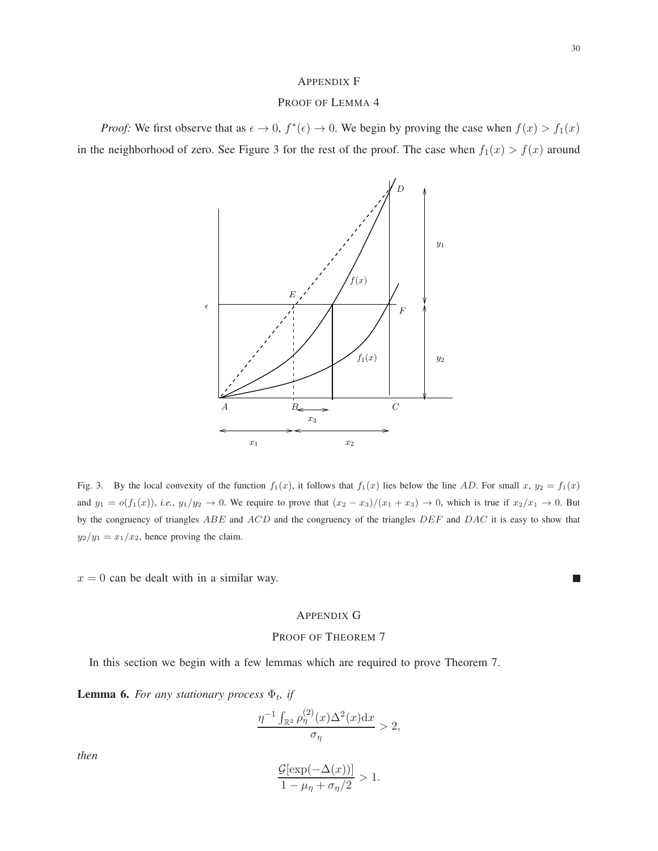### APPENDIX F

# PROOF OF LEMMA 4

*Proof:* We first observe that as  $\epsilon \to 0$ ,  $f^*(\epsilon) \to 0$ . We begin by proving the case when  $f(x) > f_1(x)$ in the neighborhood of zero. See Figure 3 for the rest of the proof. The case when  $f_1(x) > f(x)$  around



Fig. 3. By the local convexity of the function  $f_1(x)$ , it follows that  $f_1(x)$  lies below the line AD. For small x,  $y_2 = f_1(x)$ and  $y_1 = o(f_1(x))$ , *i.e.*,  $y_1/y_2 \to 0$ . We require to prove that  $(x_2 - x_3)/(x_1 + x_3) \to 0$ , which is true if  $x_2/x_1 \to 0$ . But by the congruency of triangles  $ABE$  and  $ACD$  and the congruency of the triangles  $DEF$  and  $DAC$  it is easy to show that  $y_2/y_1 = x_1/x_2$ , hence proving the claim.

 $x = 0$  can be dealt with in a similar way.

# $\mathcal{L}_{\mathcal{A}}$

# APPENDIX G

### PROOF OF THEOREM 7

In this section we begin with a few lemmas which are required to prove Theorem 7.

**Lemma 6.** For any stationary process  $\Phi_t$ , if

$$
\frac{\eta^{-1} \int_{\mathbb{R}^2} \rho_{\eta}^{(2)}(x) \Delta^2(x) \mathrm{d}x}{\sigma_{\eta}} > 2,
$$

*then*

$$
\frac{\mathcal{G}[\exp(-\Delta(x))]}{1-\mu_{\eta}+\sigma_{\eta}/2} > 1.
$$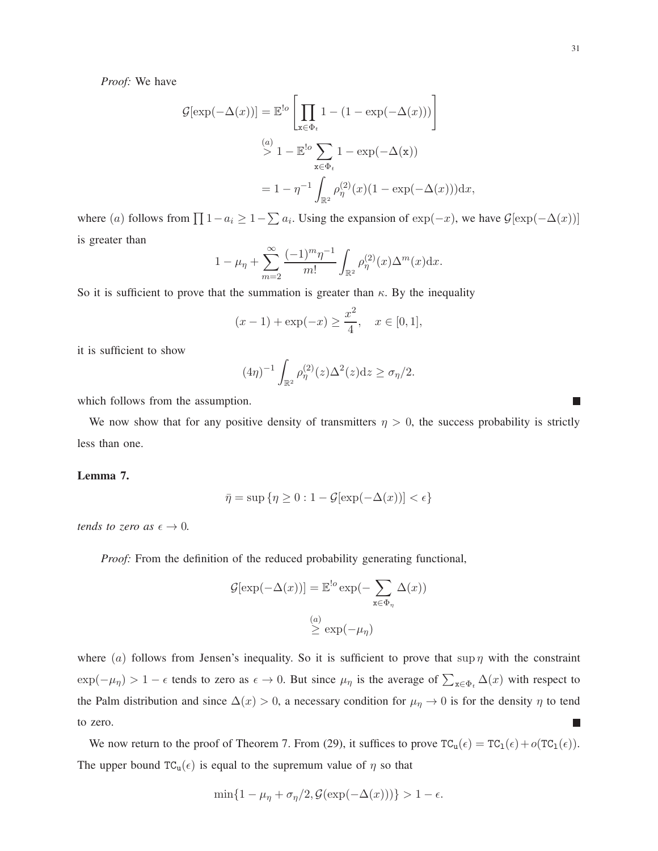T.

*Proof:* We have

$$
\mathcal{G}[\exp(-\Delta(x))] = \mathbb{E}^{!o} \left[ \prod_{\mathbf{x} \in \Phi_t} 1 - (1 - \exp(-\Delta(x))) \right]
$$
  

$$
\stackrel{(a)}{>} 1 - \mathbb{E}^{!o} \sum_{\mathbf{x} \in \Phi_t} 1 - \exp(-\Delta(\mathbf{x}))
$$
  

$$
= 1 - \eta^{-1} \int_{\mathbb{R}^2} \rho_{\eta}^{(2)}(x) (1 - \exp(-\Delta(x))) dx,
$$

where (a) follows from  $\prod 1 - a_i \geq 1 - \sum a_i$ . Using the expansion of  $\exp(-x)$ , we have  $\mathcal{G}[\exp(-\Delta(x))]$ is greater than

$$
1 - \mu_{\eta} + \sum_{m=2}^{\infty} \frac{(-1)^m \eta^{-1}}{m!} \int_{\mathbb{R}^2} \rho_{\eta}^{(2)}(x) \Delta^m(x) dx.
$$

So it is sufficient to prove that the summation is greater than  $\kappa$ . By the inequality

$$
(x-1) + \exp(-x) \ge \frac{x^2}{4}, \quad x \in [0,1],
$$

it is sufficient to show

$$
(4\eta)^{-1} \int_{\mathbb{R}^2} \rho_{\eta}^{(2)}(z) \Delta^2(z) \mathrm{d} z \ge \sigma_{\eta}/2.
$$

which follows from the assumption.

We now show that for any positive density of transmitters  $\eta > 0$ , the success probability is strictly less than one.

# **Lemma 7.**

$$
\bar{\eta} = \sup \{ \eta \ge 0 : 1 - \mathcal{G}[\exp(-\Delta(x))] < \epsilon \}
$$

*tends to zero as*  $\epsilon \to 0$ *.* 

*Proof:* From the definition of the reduced probability generating functional,

$$
\mathcal{G}[\exp(-\Delta(x))] = \mathbb{E}^{!o} \exp(-\sum_{x \in \Phi_{\eta}} \Delta(x))
$$

$$
\overset{(a)}{\geq} \exp(-\mu_{\eta})
$$

where (a) follows from Jensen's inequality. So it is sufficient to prove that  $\sup \eta$  with the constraint  $\exp(-\mu_{\eta}) > 1 - \epsilon$  tends to zero as  $\epsilon \to 0$ . But since  $\mu_{\eta}$  is the average of  $\sum_{x \in \Phi_t} \Delta(x)$  with respect to the Palm distribution and since  $\Delta(x) > 0$ , a necessary condition for  $\mu_{\eta} \to 0$  is for the density  $\eta$  to tend to zero. г

We now return to the proof of Theorem 7. From (29), it suffices to prove  $TC_u(\epsilon) = TC_1(\epsilon) + o(TC_1(\epsilon))$ . The upper bound  $TC_u(\epsilon)$  is equal to the supremum value of  $\eta$  so that

$$
\min\{1 - \mu_{\eta} + \sigma_{\eta}/2, \mathcal{G}(\exp(-\Delta(x)))\} > 1 - \epsilon.
$$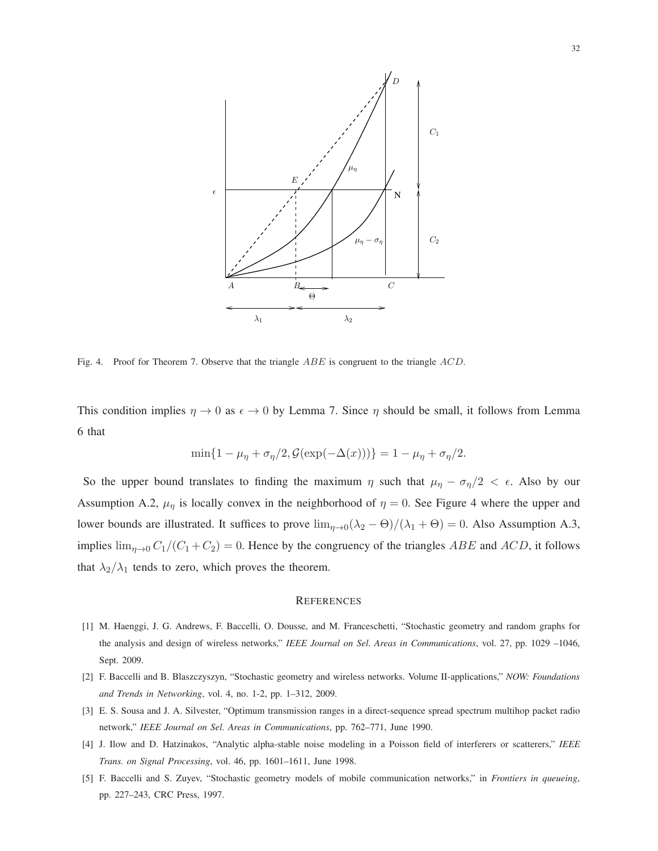

Fig. 4. Proof for Theorem 7. Observe that the triangle ABE is congruent to the triangle ACD.

This condition implies  $\eta \to 0$  as  $\epsilon \to 0$  by Lemma 7. Since  $\eta$  should be small, it follows from Lemma 6 that

$$
\min\{1-\mu_{\eta}+\sigma_{\eta}/2,\mathcal{G}(\exp(-\Delta(x)))\}=1-\mu_{\eta}+\sigma_{\eta}/2.
$$

So the upper bound translates to finding the maximum  $\eta$  such that  $\mu_{\eta} - \sigma_{\eta}/2 < \epsilon$ . Also by our Assumption A.2,  $\mu_{\eta}$  is locally convex in the neighborhood of  $\eta = 0$ . See Figure 4 where the upper and lower bounds are illustrated. It suffices to prove  $\lim_{\eta\to 0} (\lambda_2 - \Theta)/(\lambda_1 + \Theta) = 0$ . Also Assumption A.3, implies  $\lim_{\eta \to 0} C_1/(C_1 + C_2) = 0$ . Hence by the congruency of the triangles ABE and ACD, it follows that  $\lambda_2/\lambda_1$  tends to zero, which proves the theorem.

#### **REFERENCES**

- [1] M. Haenggi, J. G. Andrews, F. Baccelli, O. Dousse, and M. Franceschetti, "Stochastic geometry and random graphs for the analysis and design of wireless networks," *IEEE Journal on Sel. Areas in Communications*, vol. 27, pp. 1029 –1046, Sept. 2009.
- [2] F. Baccelli and B. Blaszczyszyn, "Stochastic geometry and wireless networks. Volume II-applications," *NOW: Foundations and Trends in Networking*, vol. 4, no. 1-2, pp. 1–312, 2009.
- [3] E. S. Sousa and J. A. Silvester, "Optimum transmission ranges in a direct-sequence spread spectrum multihop packet radio network," *IEEE Journal on Sel. Areas in Communications*, pp. 762–771, June 1990.
- [4] J. Ilow and D. Hatzinakos, "Analytic alpha-stable noise modeling in a Poisson field of interferers or scatterers," *IEEE Trans. on Signal Processing*, vol. 46, pp. 1601–1611, June 1998.
- [5] F. Baccelli and S. Zuyev, "Stochastic geometry models of mobile communication networks," in *Frontiers in queueing*, pp. 227–243, CRC Press, 1997.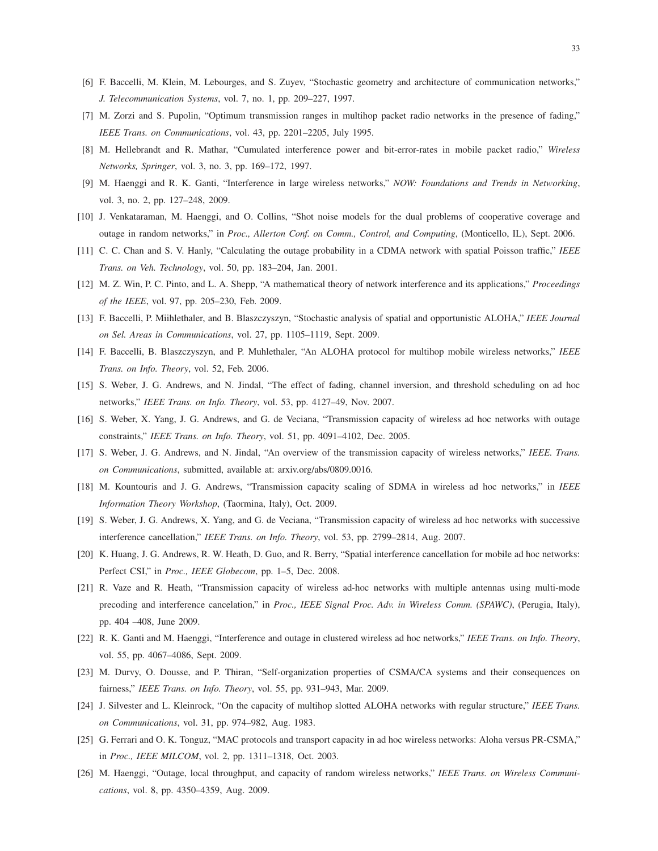- [6] F. Baccelli, M. Klein, M. Lebourges, and S. Zuyev, "Stochastic geometry and architecture of communication networks," *J. Telecommunication Systems*, vol. 7, no. 1, pp. 209–227, 1997.
- [7] M. Zorzi and S. Pupolin, "Optimum transmission ranges in multihop packet radio networks in the presence of fading," *IEEE Trans. on Communications*, vol. 43, pp. 2201–2205, July 1995.
- [8] M. Hellebrandt and R. Mathar, "Cumulated interference power and bit-error-rates in mobile packet radio," *Wireless Networks, Springer*, vol. 3, no. 3, pp. 169–172, 1997.
- [9] M. Haenggi and R. K. Ganti, "Interference in large wireless networks," *NOW: Foundations and Trends in Networking*, vol. 3, no. 2, pp. 127–248, 2009.
- [10] J. Venkataraman, M. Haenggi, and O. Collins, "Shot noise models for the dual problems of cooperative coverage and outage in random networks," in *Proc., Allerton Conf. on Comm., Control, and Computing*, (Monticello, IL), Sept. 2006.
- [11] C. C. Chan and S. V. Hanly, "Calculating the outage probability in a CDMA network with spatial Poisson traffic," *IEEE Trans. on Veh. Technology*, vol. 50, pp. 183–204, Jan. 2001.
- [12] M. Z. Win, P. C. Pinto, and L. A. Shepp, "A mathematical theory of network interference and its applications," *Proceedings of the IEEE*, vol. 97, pp. 205–230, Feb. 2009.
- [13] F. Baccelli, P. Miihlethaler, and B. Blaszczyszyn, "Stochastic analysis of spatial and opportunistic ALOHA," *IEEE Journal on Sel. Areas in Communications*, vol. 27, pp. 1105–1119, Sept. 2009.
- [14] F. Baccelli, B. Blaszczyszyn, and P. Muhlethaler, "An ALOHA protocol for multihop mobile wireless networks," *IEEE Trans. on Info. Theory*, vol. 52, Feb. 2006.
- [15] S. Weber, J. G. Andrews, and N. Jindal, "The effect of fading, channel inversion, and threshold scheduling on ad hoc networks," *IEEE Trans. on Info. Theory*, vol. 53, pp. 4127–49, Nov. 2007.
- [16] S. Weber, X. Yang, J. G. Andrews, and G. de Veciana, "Transmission capacity of wireless ad hoc networks with outage constraints," *IEEE Trans. on Info. Theory*, vol. 51, pp. 4091–4102, Dec. 2005.
- [17] S. Weber, J. G. Andrews, and N. Jindal, "An overview of the transmission capacity of wireless networks," *IEEE. Trans. on Communications*, submitted, available at: arxiv.org/abs/0809.0016.
- [18] M. Kountouris and J. G. Andrews, "Transmission capacity scaling of SDMA in wireless ad hoc networks," in *IEEE Information Theory Workshop*, (Taormina, Italy), Oct. 2009.
- [19] S. Weber, J. G. Andrews, X. Yang, and G. de Veciana, "Transmission capacity of wireless ad hoc networks with successive interference cancellation," *IEEE Trans. on Info. Theory*, vol. 53, pp. 2799–2814, Aug. 2007.
- [20] K. Huang, J. G. Andrews, R. W. Heath, D. Guo, and R. Berry, "Spatial interference cancellation for mobile ad hoc networks: Perfect CSI," in *Proc., IEEE Globecom*, pp. 1–5, Dec. 2008.
- [21] R. Vaze and R. Heath, "Transmission capacity of wireless ad-hoc networks with multiple antennas using multi-mode precoding and interference cancelation," in *Proc., IEEE Signal Proc. Adv. in Wireless Comm. (SPAWC)*, (Perugia, Italy), pp. 404 –408, June 2009.
- [22] R. K. Ganti and M. Haenggi, "Interference and outage in clustered wireless ad hoc networks," *IEEE Trans. on Info. Theory*, vol. 55, pp. 4067–4086, Sept. 2009.
- [23] M. Durvy, O. Dousse, and P. Thiran, "Self-organization properties of CSMA/CA systems and their consequences on fairness," *IEEE Trans. on Info. Theory*, vol. 55, pp. 931–943, Mar. 2009.
- [24] J. Silvester and L. Kleinrock, "On the capacity of multihop slotted ALOHA networks with regular structure," *IEEE Trans. on Communications*, vol. 31, pp. 974–982, Aug. 1983.
- [25] G. Ferrari and O. K. Tonguz, "MAC protocols and transport capacity in ad hoc wireless networks: Aloha versus PR-CSMA," in *Proc., IEEE MILCOM*, vol. 2, pp. 1311–1318, Oct. 2003.
- [26] M. Haenggi, "Outage, local throughput, and capacity of random wireless networks," *IEEE Trans. on Wireless Communications*, vol. 8, pp. 4350–4359, Aug. 2009.